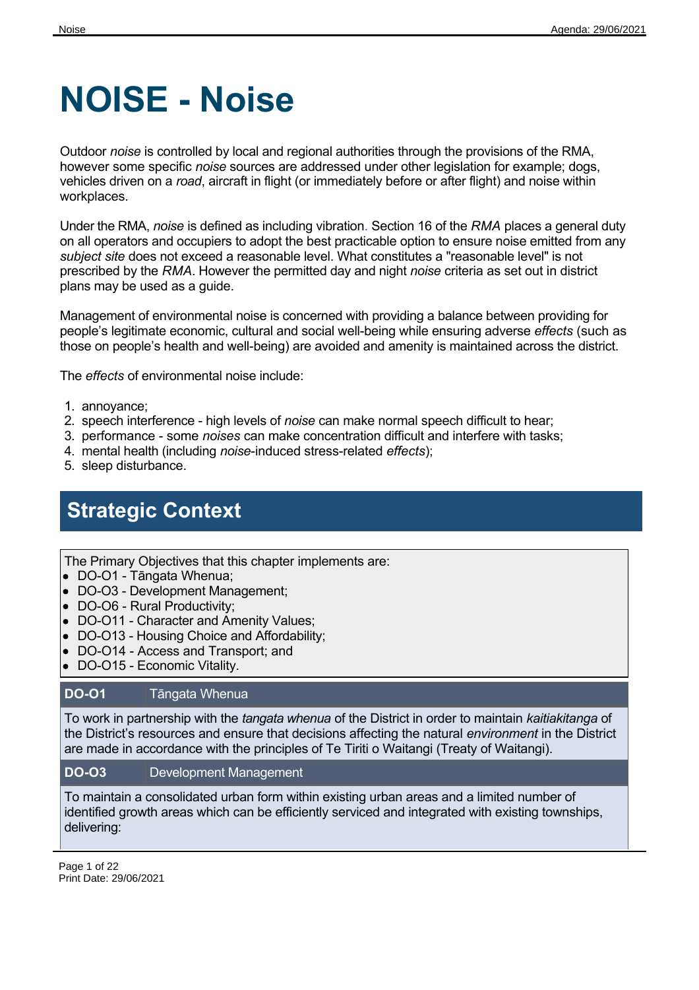# **NOISE - Noise**

Outdoor *noise* is controlled by local and regional authorities through the provisions of the RMA, however some specific *noise* sources are addressed under other legislation for example; dogs, vehicles driven on a *road*, aircraft in flight (or immediately before or after flight) and noise within workplaces.

Under the RMA, *noise* is defined as including vibration. Section 16 of the *RMA* places a general duty on all operators and occupiers to adopt the best practicable option to ensure noise emitted from any *subject site* does not exceed a reasonable level. What constitutes a "reasonable level" is not prescribed by the *RMA*. However the permitted day and night *noise* criteria as set out in district plans may be used as a guide.

Management of environmental noise is concerned with providing a balance between providing for people's legitimate economic, cultural and social well-being while ensuring adverse *effects* (such as those on people's health and well-being) are avoided and amenity is maintained across the district.

The *effects* of environmental noise include:

- 1. annoyance;
- 2. speech interference high levels of *noise* can make normal speech difficult to hear;
- 3. performance some *noises* can make concentration difficult and interfere with tasks;
- 4. mental health (including *noise*-induced stress-related *effects*);
- 5. sleep disturbance.

# **Strategic Context**

The Primary Objectives that this chapter implements are:

- DO-O1 Tāngata Whenua;
- DO-O3 Development Management;
- DO-O6 Rural Productivity;
- DO-O11 Character and Amenity Values;
- DO-O13 Housing Choice and Affordability;
- DO-O14 Access and Transport; and
- DO-O15 Economic Vitality.

#### **DO-O1** Tāngata Whenua

To work in partnership with the *tangata whenua* of the District in order to maintain *kaitiakitanga* of the District's resources and ensure that decisions affecting the natural *environment* in the District are made in accordance with the principles of Te Tiriti o Waitangi (Treaty of Waitangi).

#### **DO-O3** Development Management

To maintain a consolidated urban form within existing urban areas and a limited number of identified growth areas which can be efficiently serviced and integrated with existing townships, delivering:

Page 1 of 22 Print Date: 29/06/2021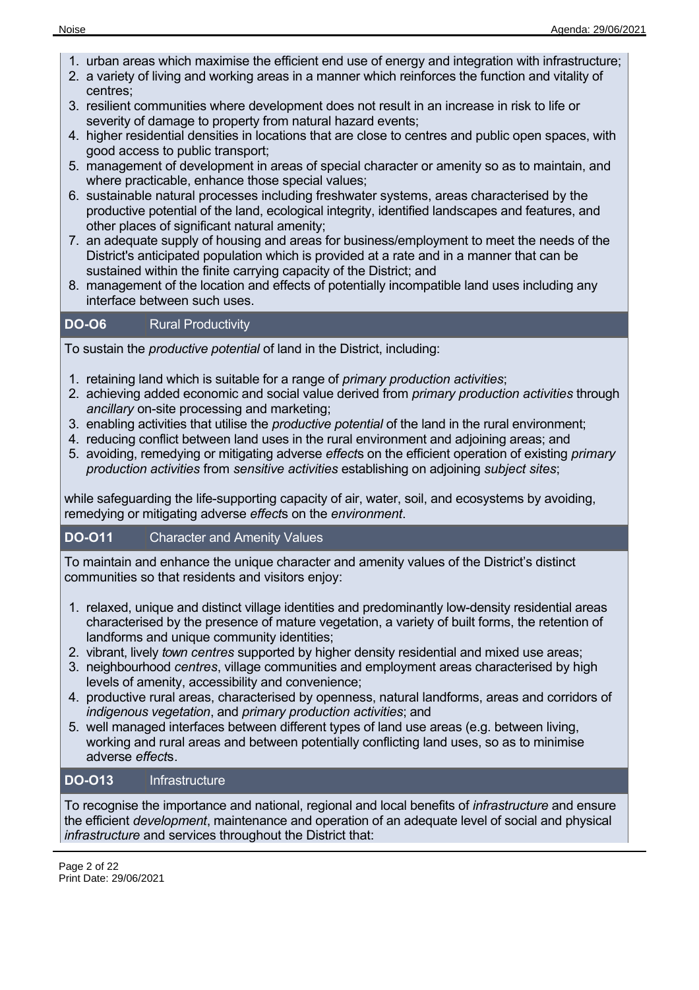- 1. urban areas which maximise the efficient end use of energy and integration with infrastructure;
- 2. a variety of living and working areas in a manner which reinforces the function and vitality of centres;
- 3. resilient communities where development does not result in an increase in risk to life or severity of damage to property from natural hazard events;
- 4. higher residential densities in locations that are close to centres and public open spaces, with good access to public transport;
- 5. management of development in areas of special character or amenity so as to maintain, and where practicable, enhance those special values;
- 6. sustainable natural processes including freshwater systems, areas characterised by the productive potential of the land, ecological integrity, identified landscapes and features, and other places of significant natural amenity;
- 7. an adequate supply of housing and areas for business/employment to meet the needs of the District's anticipated population which is provided at a rate and in a manner that can be sustained within the finite carrying capacity of the District; and
- 8. management of the location and effects of potentially incompatible land uses including any interface between such uses.

### **DO-O6** Rural Productivity

To sustain the *productive potential* of land in the District, including:

- 1. retaining land which is suitable for a range of *primary production activities*;
- 2. achieving added economic and social value derived from *primary production activities* through *ancillary* on-site processing and marketing;
- 3. enabling activities that utilise the *productive potential* of the land in the rural environment;
- 4. reducing conflict between land uses in the rural environment and adjoining areas; and
- 5. avoiding, remedying or mitigating adverse *effect*s on the efficient operation of existing *primary production activities* from *sensitive activities* establishing on adjoining *subject sites*;

while safeguarding the life-supporting capacity of air, water, soil, and ecosystems by avoiding, remedying or mitigating adverse *effect*s on the *environment*.

## **DO-O11** Character and Amenity Values

To maintain and enhance the unique character and amenity values of the District's distinct communities so that residents and visitors enjoy:

- 1. relaxed, unique and distinct village identities and predominantly low-density residential areas characterised by the presence of mature vegetation, a variety of built forms, the retention of landforms and unique community identities;
- 2. vibrant, lively *town centres* supported by higher density residential and mixed use areas;
- 3. neighbourhood *centres*, village communities and employment areas characterised by high levels of amenity, accessibility and convenience;
- 4. productive rural areas, characterised by openness, natural landforms, areas and corridors of *indigenous vegetation*, and *primary production activities*; and
- 5. well managed interfaces between different types of land use areas (e.g. between living, working and rural areas and between potentially conflicting land uses, so as to minimise adverse *effect*s.

## **DO-O13** Infrastructure

To recognise the importance and national, regional and local benefits of *infrastructure* and ensure the efficient *development*, maintenance and operation of an adequate level of social and physical *infrastructure* and services throughout the District that: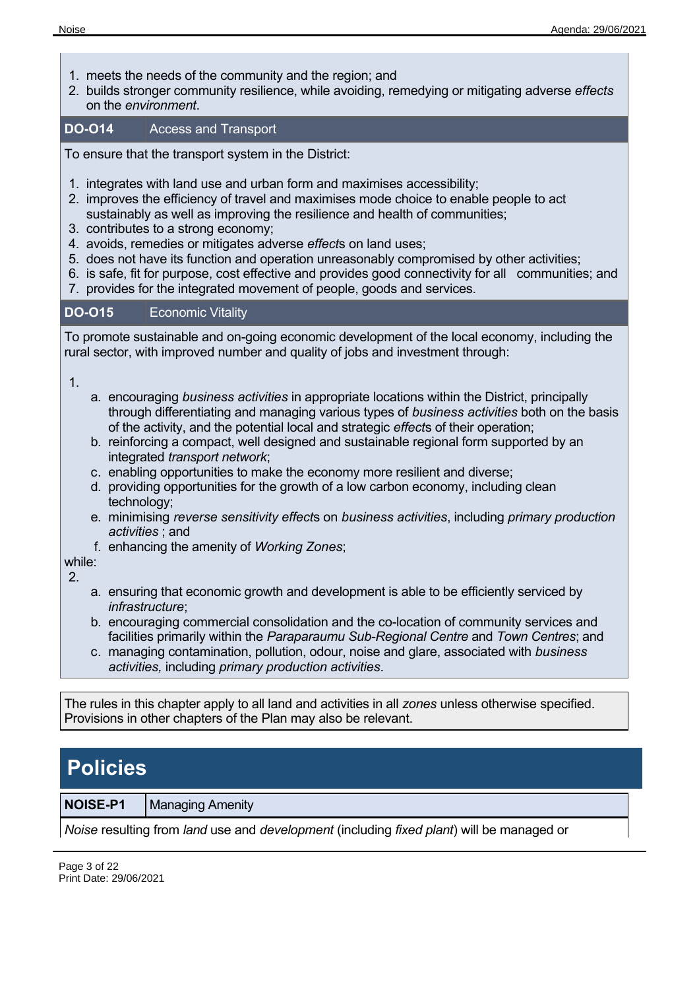- 1. meets the needs of the community and the region; and
- 2. builds stronger community resilience, while avoiding, remedying or mitigating adverse *effects* on the *environment*.

#### **DO-O14** Access and Transport

To ensure that the transport system in the District:

- 1. integrates with land use and urban form and maximises accessibility;
- 2. improves the efficiency of travel and maximises mode choice to enable people to act sustainably as well as improving the resilience and health of communities;
- 3. contributes to a strong economy;
- 4. avoids, remedies or mitigates adverse *effect*s on land uses;
- 5. does not have its function and operation unreasonably compromised by other activities;
- 6. is safe, fit for purpose, cost effective and provides good connectivity for all communities; and
- 7. provides for the integrated movement of people, goods and services.

#### **DO-O15** Economic Vitality

To promote sustainable and on-going economic development of the local economy, including the rural sector, with improved number and quality of jobs and investment through:

1.

- a. encouraging *business activities* in appropriate locations within the District, principally through differentiating and managing various types of *business activities* both on the basis of the activity, and the potential local and strategic *effect*s of their operation;
- b. reinforcing a compact, well designed and sustainable regional form supported by an integrated *transport network*;
- c. enabling opportunities to make the economy more resilient and diverse;
- d. providing opportunities for the growth of a low carbon economy, including clean technology;
- e. minimising *reverse sensitivity effect*s on *business activities*, including *primary production activities* ; and
- f. enhancing the amenity of *Working Zones*;

while:

2.

- a. ensuring that economic growth and development is able to be efficiently serviced by *infrastructure*;
- b. encouraging commercial consolidation and the co-location of community services and facilities primarily within the *Paraparaumu Sub-Regional Centre* and *Town Centres*; and
- c. managing contamination, pollution, odour, noise and glare, associated with *business activities,* including *primary production activities*.

The rules in this chapter apply to all land and activities in all *zones* unless otherwise specified. Provisions in other chapters of the Plan may also be relevant.

# **Policies**

**NOISE-P1** | Managing Amenity

*Noise* resulting from *land* use and *development* (including *fixed plant*) will be managed or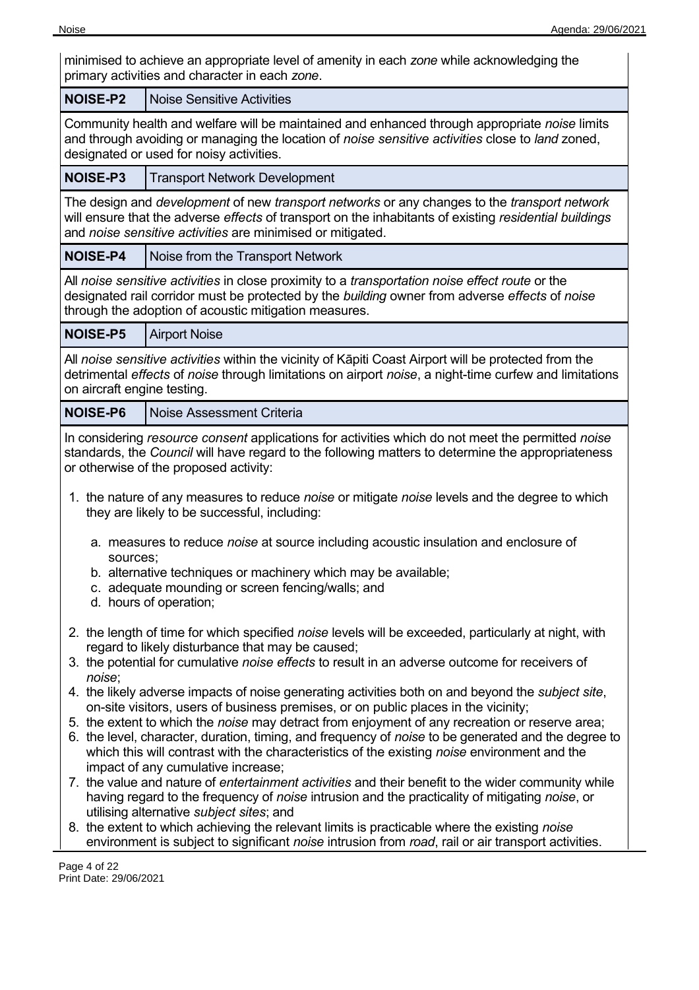minimised to achieve an appropriate level of amenity in each *zone* while acknowledging the primary activities and character in each *zone*.

| <b>NOISE-P2</b>                                                                                                                                                                                                                                                                                                                                                                                                                                                                                                                                                                                                                                                                                                                                                                                                                                                                                                                                                                                                                                                                                                                                                                                                                                                                 | <b>Noise Sensitive Activities</b>                                                                                                                                                                                                                                                                                                                                                                                                                                                                                                                                                                                                                                |  |
|---------------------------------------------------------------------------------------------------------------------------------------------------------------------------------------------------------------------------------------------------------------------------------------------------------------------------------------------------------------------------------------------------------------------------------------------------------------------------------------------------------------------------------------------------------------------------------------------------------------------------------------------------------------------------------------------------------------------------------------------------------------------------------------------------------------------------------------------------------------------------------------------------------------------------------------------------------------------------------------------------------------------------------------------------------------------------------------------------------------------------------------------------------------------------------------------------------------------------------------------------------------------------------|------------------------------------------------------------------------------------------------------------------------------------------------------------------------------------------------------------------------------------------------------------------------------------------------------------------------------------------------------------------------------------------------------------------------------------------------------------------------------------------------------------------------------------------------------------------------------------------------------------------------------------------------------------------|--|
|                                                                                                                                                                                                                                                                                                                                                                                                                                                                                                                                                                                                                                                                                                                                                                                                                                                                                                                                                                                                                                                                                                                                                                                                                                                                                 | Community health and welfare will be maintained and enhanced through appropriate noise limits<br>and through avoiding or managing the location of noise sensitive activities close to land zoned,<br>designated or used for noisy activities.                                                                                                                                                                                                                                                                                                                                                                                                                    |  |
| NOISE-P3                                                                                                                                                                                                                                                                                                                                                                                                                                                                                                                                                                                                                                                                                                                                                                                                                                                                                                                                                                                                                                                                                                                                                                                                                                                                        | <b>Transport Network Development</b>                                                                                                                                                                                                                                                                                                                                                                                                                                                                                                                                                                                                                             |  |
| The design and development of new transport networks or any changes to the transport network<br>will ensure that the adverse effects of transport on the inhabitants of existing residential buildings<br>and noise sensitive activities are minimised or mitigated.                                                                                                                                                                                                                                                                                                                                                                                                                                                                                                                                                                                                                                                                                                                                                                                                                                                                                                                                                                                                            |                                                                                                                                                                                                                                                                                                                                                                                                                                                                                                                                                                                                                                                                  |  |
| <b>NOISE-P4</b>                                                                                                                                                                                                                                                                                                                                                                                                                                                                                                                                                                                                                                                                                                                                                                                                                                                                                                                                                                                                                                                                                                                                                                                                                                                                 | Noise from the Transport Network                                                                                                                                                                                                                                                                                                                                                                                                                                                                                                                                                                                                                                 |  |
|                                                                                                                                                                                                                                                                                                                                                                                                                                                                                                                                                                                                                                                                                                                                                                                                                                                                                                                                                                                                                                                                                                                                                                                                                                                                                 | All noise sensitive activities in close proximity to a transportation noise effect route or the<br>designated rail corridor must be protected by the building owner from adverse effects of noise<br>through the adoption of acoustic mitigation measures.                                                                                                                                                                                                                                                                                                                                                                                                       |  |
| <b>NOISE-P5</b>                                                                                                                                                                                                                                                                                                                                                                                                                                                                                                                                                                                                                                                                                                                                                                                                                                                                                                                                                                                                                                                                                                                                                                                                                                                                 | <b>Airport Noise</b>                                                                                                                                                                                                                                                                                                                                                                                                                                                                                                                                                                                                                                             |  |
| on aircraft engine testing.                                                                                                                                                                                                                                                                                                                                                                                                                                                                                                                                                                                                                                                                                                                                                                                                                                                                                                                                                                                                                                                                                                                                                                                                                                                     | All noise sensitive activities within the vicinity of Kāpiti Coast Airport will be protected from the<br>detrimental effects of noise through limitations on airport noise, a night-time curfew and limitations                                                                                                                                                                                                                                                                                                                                                                                                                                                  |  |
| <b>NOISE-P6</b>                                                                                                                                                                                                                                                                                                                                                                                                                                                                                                                                                                                                                                                                                                                                                                                                                                                                                                                                                                                                                                                                                                                                                                                                                                                                 | <b>Noise Assessment Criteria</b>                                                                                                                                                                                                                                                                                                                                                                                                                                                                                                                                                                                                                                 |  |
| sources;                                                                                                                                                                                                                                                                                                                                                                                                                                                                                                                                                                                                                                                                                                                                                                                                                                                                                                                                                                                                                                                                                                                                                                                                                                                                        | In considering resource consent applications for activities which do not meet the permitted noise<br>standards, the Council will have regard to the following matters to determine the appropriateness<br>or otherwise of the proposed activity:<br>1. the nature of any measures to reduce <i>noise</i> or mitigate <i>noise</i> levels and the degree to which<br>they are likely to be successful, including:<br>a. measures to reduce <i>noise</i> at source including acoustic insulation and enclosure of<br>b. alternative techniques or machinery which may be available;<br>c. adequate mounding or screen fencing/walls; and<br>d. hours of operation; |  |
| 2. the length of time for which specified noise levels will be exceeded, particularly at night, with<br>regard to likely disturbance that may be caused;<br>3. the potential for cumulative noise effects to result in an adverse outcome for receivers of<br>noise;<br>4. the likely adverse impacts of noise generating activities both on and beyond the <i>subject site</i> ,<br>on-site visitors, users of business premises, or on public places in the vicinity;<br>5. the extent to which the noise may detract from enjoyment of any recreation or reserve area;<br>6. the level, character, duration, timing, and frequency of noise to be generated and the degree to<br>which this will contrast with the characteristics of the existing noise environment and the<br>impact of any cumulative increase;<br>7. the value and nature of entertainment activities and their benefit to the wider community while<br>having regard to the frequency of noise intrusion and the practicality of mitigating noise, or<br>utilising alternative subject sites; and<br>8. the extent to which achieving the relevant limits is practicable where the existing noise<br>environment is subject to significant noise intrusion from road, rail or air transport activities. |                                                                                                                                                                                                                                                                                                                                                                                                                                                                                                                                                                                                                                                                  |  |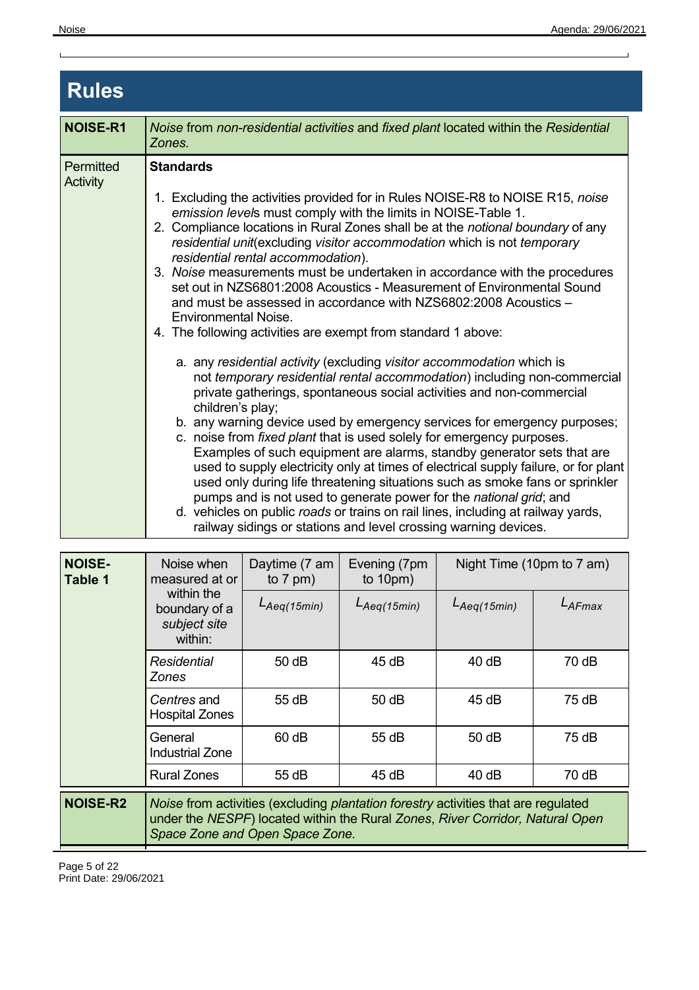$\mathbf{L}$ 

 $\overline{1}$ 

| <b>Rules</b>                 |                                                                                                                                                                                                                                                                                                                                                                                                                                                                                                                                                                                                                                                                                                                                                                                                                                                                                                                                                                                                                                                                                                                                                                                                                                                                                                                                                                                                                                                                                                                                                                                         |  |  |  |
|------------------------------|-----------------------------------------------------------------------------------------------------------------------------------------------------------------------------------------------------------------------------------------------------------------------------------------------------------------------------------------------------------------------------------------------------------------------------------------------------------------------------------------------------------------------------------------------------------------------------------------------------------------------------------------------------------------------------------------------------------------------------------------------------------------------------------------------------------------------------------------------------------------------------------------------------------------------------------------------------------------------------------------------------------------------------------------------------------------------------------------------------------------------------------------------------------------------------------------------------------------------------------------------------------------------------------------------------------------------------------------------------------------------------------------------------------------------------------------------------------------------------------------------------------------------------------------------------------------------------------------|--|--|--|
| <b>NOISE-R1</b>              | Noise from non-residential activities and fixed plant located within the Residential<br>Zones.                                                                                                                                                                                                                                                                                                                                                                                                                                                                                                                                                                                                                                                                                                                                                                                                                                                                                                                                                                                                                                                                                                                                                                                                                                                                                                                                                                                                                                                                                          |  |  |  |
| <b>Permitted</b><br>Activity | <b>Standards</b><br>1. Excluding the activities provided for in Rules NOISE-R8 to NOISE R15, noise<br>emission levels must comply with the limits in NOISE-Table 1.<br>2. Compliance locations in Rural Zones shall be at the notional boundary of any<br>residential unit(excluding visitor accommodation which is not temporary<br>residential rental accommodation).<br>3. Noise measurements must be undertaken in accordance with the procedures<br>set out in NZS6801:2008 Acoustics - Measurement of Environmental Sound<br>and must be assessed in accordance with NZS6802:2008 Acoustics -<br><b>Environmental Noise.</b><br>4. The following activities are exempt from standard 1 above:<br>a. any residential activity (excluding visitor accommodation which is<br>not temporary residential rental accommodation) including non-commercial<br>private gatherings, spontaneous social activities and non-commercial<br>children's play;<br>b. any warning device used by emergency services for emergency purposes;<br>c. noise from fixed plant that is used solely for emergency purposes.<br>Examples of such equipment are alarms, standby generator sets that are<br>used to supply electricity only at times of electrical supply failure, or for plant<br>used only during life threatening situations such as smoke fans or sprinkler<br>pumps and is not used to generate power for the national grid; and<br>d. vehicles on public roads or trains on rail lines, including at railway yards,<br>railway sidings or stations and level crossing warning devices. |  |  |  |

| <b>NOISE-</b><br><b>Table 1</b> | Noise when<br>measured at or                                                                                                                                                                           | Daytime (7 am<br>to $7$ pm) | Evening (7pm<br>to $10pm)$ | Night Time (10pm to 7 am) |        |
|---------------------------------|--------------------------------------------------------------------------------------------------------------------------------------------------------------------------------------------------------|-----------------------------|----------------------------|---------------------------|--------|
|                                 | within the<br>boundary of a<br>subject site<br>within:                                                                                                                                                 | $L_{Aeq(15min)}$            | $L_{Aeq(15min)}$           | $L_{Aeq(15min)}$          | LAFmax |
|                                 | Residential<br><b>Zones</b>                                                                                                                                                                            | 50dB                        | 45 dB                      | 40dB                      | 70 dB  |
|                                 | <i>Centres</i> and<br><b>Hospital Zones</b>                                                                                                                                                            | 55 dB                       | $50$ dB                    | 45 dB                     | 75 dB  |
|                                 | General<br><b>Industrial Zone</b>                                                                                                                                                                      | 60 dB                       | 55 dB                      | 50dB                      | 75dB   |
|                                 | <b>Rural Zones</b>                                                                                                                                                                                     | 55 dB                       | 45 dB                      | 40 dB                     | 70 dB  |
| <b>NOISE-R2</b>                 | Noise from activities (excluding plantation forestry activities that are regulated<br>under the NESPF) located within the Rural Zones, River Corridor, Natural Open<br>Space Zone and Open Space Zone. |                             |                            |                           |        |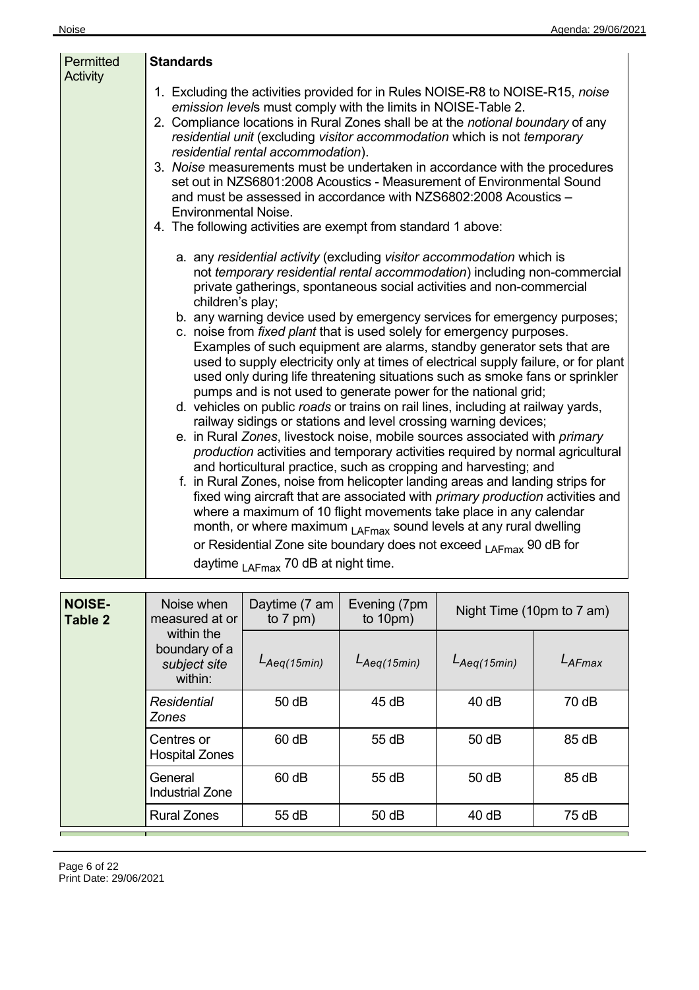| Permitted<br><b>Activity</b> | <b>Standards</b>                                                                                                                                                                                                                                                                                                                                                                                                                                                                                                                                                                                                                                                                                                                                                                                                                                                                                                                                                                                                                                                                                                                                                                                                                                                                                                                                                                                                                                                                                                                                                                     |
|------------------------------|--------------------------------------------------------------------------------------------------------------------------------------------------------------------------------------------------------------------------------------------------------------------------------------------------------------------------------------------------------------------------------------------------------------------------------------------------------------------------------------------------------------------------------------------------------------------------------------------------------------------------------------------------------------------------------------------------------------------------------------------------------------------------------------------------------------------------------------------------------------------------------------------------------------------------------------------------------------------------------------------------------------------------------------------------------------------------------------------------------------------------------------------------------------------------------------------------------------------------------------------------------------------------------------------------------------------------------------------------------------------------------------------------------------------------------------------------------------------------------------------------------------------------------------------------------------------------------------|
|                              | 1. Excluding the activities provided for in Rules NOISE-R8 to NOISE-R15, noise<br>emission levels must comply with the limits in NOISE-Table 2.<br>2. Compliance locations in Rural Zones shall be at the notional boundary of any<br>residential unit (excluding visitor accommodation which is not temporary<br>residential rental accommodation).<br>3. Noise measurements must be undertaken in accordance with the procedures<br>set out in NZS6801:2008 Acoustics - Measurement of Environmental Sound<br>and must be assessed in accordance with NZS6802:2008 Acoustics -<br><b>Environmental Noise.</b><br>4. The following activities are exempt from standard 1 above:                                                                                                                                                                                                                                                                                                                                                                                                                                                                                                                                                                                                                                                                                                                                                                                                                                                                                                     |
|                              | a. any residential activity (excluding visitor accommodation which is<br>not temporary residential rental accommodation) including non-commercial<br>private gatherings, spontaneous social activities and non-commercial<br>children's play;<br>b. any warning device used by emergency services for emergency purposes;<br>c. noise from fixed plant that is used solely for emergency purposes.<br>Examples of such equipment are alarms, standby generator sets that are<br>used to supply electricity only at times of electrical supply failure, or for plant<br>used only during life threatening situations such as smoke fans or sprinkler<br>pumps and is not used to generate power for the national grid;<br>d. vehicles on public roads or trains on rail lines, including at railway yards,<br>railway sidings or stations and level crossing warning devices;<br>e. in Rural Zones, livestock noise, mobile sources associated with primary<br>production activities and temporary activities required by normal agricultural<br>and horticultural practice, such as cropping and harvesting; and<br>f. in Rural Zones, noise from helicopter landing areas and landing strips for<br>fixed wing aircraft that are associated with <i>primary production</i> activities and<br>where a maximum of 10 flight movements take place in any calendar<br>month, or where maximum <sub>LAFmax</sub> sound levels at any rural dwelling<br>or Residential Zone site boundary does not exceed <sub>I AFmax</sub> 90 dB for<br>daytime $_{\text{LAFmax}}$ 70 dB at night time. |

| <b>NOISE-</b><br>Table 2 | Noise when<br>measured at or                           | Daytime (7 am<br>to $7$ pm) | Evening (7pm<br>to $10pm)$ | Night Time (10pm to 7 am) |        |
|--------------------------|--------------------------------------------------------|-----------------------------|----------------------------|---------------------------|--------|
|                          | within the<br>boundary of a<br>subject site<br>within: | $L_{Aeq(15min)}$            | $L_{Aeq(15min)}$           | $L_{Aeq(15min)}$          | LAFmax |
|                          | Residential<br><b>Zones</b>                            | 50dB                        | 45dB                       | 40dB                      | 70 dB  |
|                          | Centres or<br><b>Hospital Zones</b>                    | 60 dB                       | 55 dB                      | 50 dB                     | 85 dB  |
|                          | General<br><b>Industrial Zone</b>                      | 60 dB                       | 55 dB                      | 50 dB                     | 85 dB  |
|                          | <b>Rural Zones</b>                                     | 55 dB                       | 50dB                       | 40 dB                     | 75dB   |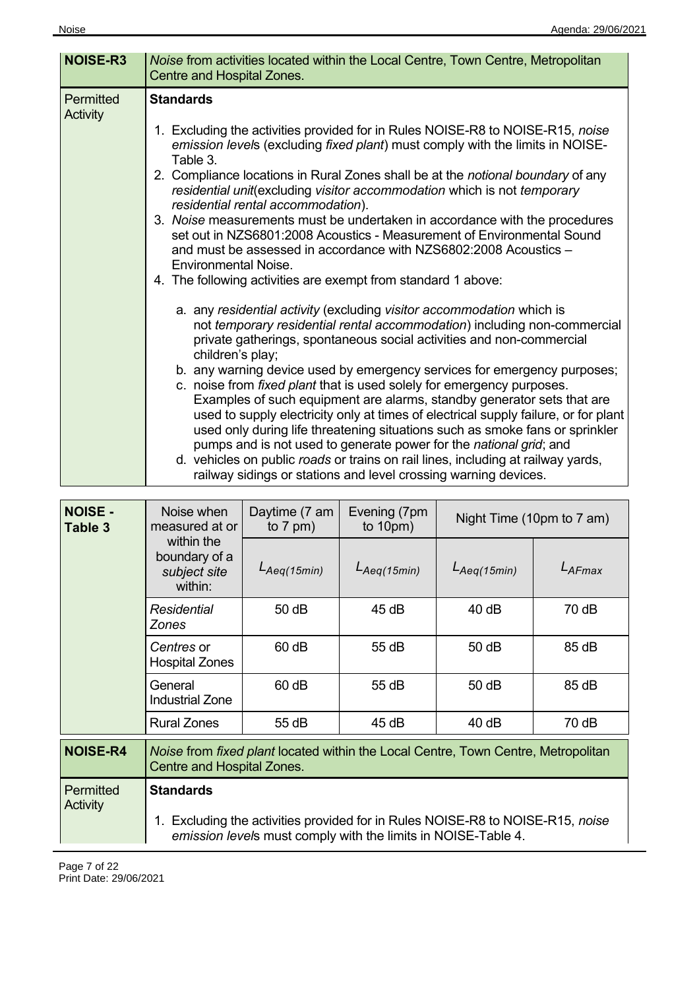| <b>NOISE-R3</b>              | Noise from activities located within the Local Centre, Town Centre, Metropolitan<br>Centre and Hospital Zones.                                                                                                                                                                                                                                                                                                                                                                                                                                                                                                                                                                                                                                                                                                                                                                                                                                                                                                                                                                                                                                                                                                                                                                                                                                                                                                                                                                                                                                                                                                             |
|------------------------------|----------------------------------------------------------------------------------------------------------------------------------------------------------------------------------------------------------------------------------------------------------------------------------------------------------------------------------------------------------------------------------------------------------------------------------------------------------------------------------------------------------------------------------------------------------------------------------------------------------------------------------------------------------------------------------------------------------------------------------------------------------------------------------------------------------------------------------------------------------------------------------------------------------------------------------------------------------------------------------------------------------------------------------------------------------------------------------------------------------------------------------------------------------------------------------------------------------------------------------------------------------------------------------------------------------------------------------------------------------------------------------------------------------------------------------------------------------------------------------------------------------------------------------------------------------------------------------------------------------------------------|
| <b>Permitted</b><br>Activity | <b>Standards</b><br>1. Excluding the activities provided for in Rules NOISE-R8 to NOISE-R15, noise<br>emission levels (excluding fixed plant) must comply with the limits in NOISE-<br>Table 3.<br>2. Compliance locations in Rural Zones shall be at the <i>notional boundary</i> of any<br>residential unit(excluding visitor accommodation which is not temporary<br>residential rental accommodation).<br>3. Noise measurements must be undertaken in accordance with the procedures<br>set out in NZS6801:2008 Acoustics - Measurement of Environmental Sound<br>and must be assessed in accordance with NZS6802:2008 Acoustics -<br><b>Environmental Noise.</b><br>4. The following activities are exempt from standard 1 above:<br>a. any residential activity (excluding visitor accommodation which is<br>not temporary residential rental accommodation) including non-commercial<br>private gatherings, spontaneous social activities and non-commercial<br>children's play;<br>b. any warning device used by emergency services for emergency purposes;<br>c. noise from fixed plant that is used solely for emergency purposes.<br>Examples of such equipment are alarms, standby generator sets that are<br>used to supply electricity only at times of electrical supply failure, or for plant<br>used only during life threatening situations such as smoke fans or sprinkler<br>pumps and is not used to generate power for the national grid; and<br>d. vehicles on public roads or trains on rail lines, including at railway yards,<br>railway sidings or stations and level crossing warning devices. |

| <b>NOISE -</b><br>Table 3    | Noise when<br>measured at or                                                                                    | Daytime (7 am<br>to $7$ pm) | Evening (7pm<br>to $10pm)$                                                                                                                   | Night Time (10pm to 7 am) |           |
|------------------------------|-----------------------------------------------------------------------------------------------------------------|-----------------------------|----------------------------------------------------------------------------------------------------------------------------------------------|---------------------------|-----------|
|                              | within the<br>boundary of a<br>subject site<br>within:                                                          | $L_{Aeq(15min)}$            | $L_{Aeq(15min)}$                                                                                                                             | $L_{Aeq(15min)}$          | $L$ AFmax |
|                              | Residential<br><b>Zones</b>                                                                                     | 50 dB                       | 45 dB                                                                                                                                        | 40dB                      | 70 dB     |
|                              | Centres or<br><b>Hospital Zones</b>                                                                             | $60$ dB                     | 55 dB                                                                                                                                        | 50 dB                     | 85 dB     |
|                              | General<br><b>Industrial Zone</b>                                                                               | $60$ dB                     | 55 dB                                                                                                                                        | 50 dB                     | 85 dB     |
|                              | <b>Rural Zones</b>                                                                                              | 55 dB                       | 45dB                                                                                                                                         | 40dB                      | 70 dB     |
| <b>NOISE-R4</b>              | Noise from fixed plant located within the Local Centre, Town Centre, Metropolitan<br>Centre and Hospital Zones. |                             |                                                                                                                                              |                           |           |
| <b>Permitted</b><br>Activity | <b>Standards</b>                                                                                                |                             |                                                                                                                                              |                           |           |
|                              |                                                                                                                 |                             | Excluding the activities provided for in Rules NOISE-R8 to NOISE-R15, noise<br>emission levels must comply with the limits in NOISE-Table 4. |                           |           |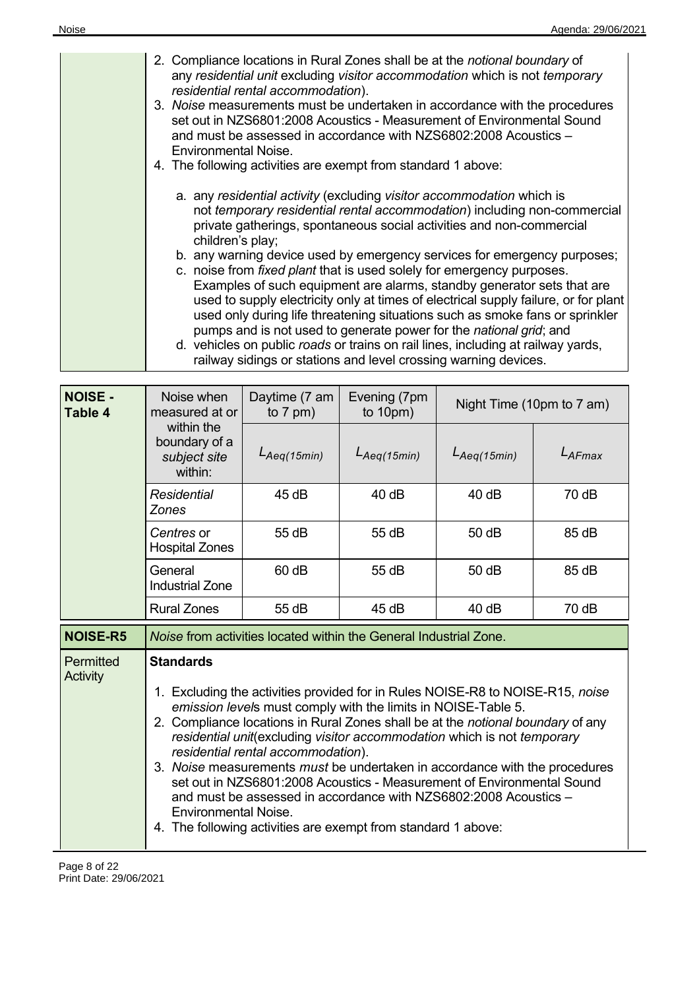| 2. Compliance locations in Rural Zones shall be at the notional boundary of<br>any residential unit excluding visitor accommodation which is not temporary<br>residential rental accommodation).<br>3. Noise measurements must be undertaken in accordance with the procedures<br>set out in NZS6801:2008 Acoustics - Measurement of Environmental Sound<br>and must be assessed in accordance with NZS6802:2008 Acoustics -<br><b>Environmental Noise.</b><br>4. The following activities are exempt from standard 1 above:                                                                                                                                                                                                                                                                                                                                                     |
|----------------------------------------------------------------------------------------------------------------------------------------------------------------------------------------------------------------------------------------------------------------------------------------------------------------------------------------------------------------------------------------------------------------------------------------------------------------------------------------------------------------------------------------------------------------------------------------------------------------------------------------------------------------------------------------------------------------------------------------------------------------------------------------------------------------------------------------------------------------------------------|
| a. any residential activity (excluding visitor accommodation which is<br>not temporary residential rental accommodation) including non-commercial<br>private gatherings, spontaneous social activities and non-commercial<br>children's play;<br>b. any warning device used by emergency services for emergency purposes;<br>c. noise from fixed plant that is used solely for emergency purposes.<br>Examples of such equipment are alarms, standby generator sets that are<br>used to supply electricity only at times of electrical supply failure, or for plant<br>used only during life threatening situations such as smoke fans or sprinkler<br>pumps and is not used to generate power for the national grid; and<br>d. vehicles on public roads or trains on rail lines, including at railway yards,<br>railway sidings or stations and level crossing warning devices. |

| <b>NOISE -</b><br><b>Table 4</b> | Noise when<br>measured at or                                                                                                                                                                                                                                                                                                                                                                                                                                                                                                                                                                                                                                                                        | Daytime (7 am<br>to $7$ pm) | Evening (7pm<br>to $10pm)$ | Night Time (10pm to 7 am) |             |
|----------------------------------|-----------------------------------------------------------------------------------------------------------------------------------------------------------------------------------------------------------------------------------------------------------------------------------------------------------------------------------------------------------------------------------------------------------------------------------------------------------------------------------------------------------------------------------------------------------------------------------------------------------------------------------------------------------------------------------------------------|-----------------------------|----------------------------|---------------------------|-------------|
|                                  | within the<br>boundary of a<br>subject site<br>within:                                                                                                                                                                                                                                                                                                                                                                                                                                                                                                                                                                                                                                              | $L_{Aeq(15min)}$            | $L_{Aeq(15min)}$           | $L_{Aeq(15min)}$          | $L_{AFmax}$ |
|                                  | <b>Residential</b><br><b>Zones</b>                                                                                                                                                                                                                                                                                                                                                                                                                                                                                                                                                                                                                                                                  | 45dB                        | 40dB                       | 40 dB                     | 70 dB       |
|                                  | Centres or<br><b>Hospital Zones</b>                                                                                                                                                                                                                                                                                                                                                                                                                                                                                                                                                                                                                                                                 | 55 dB                       | 55 dB                      | 50 dB                     | 85 dB       |
|                                  | General<br><b>Industrial Zone</b>                                                                                                                                                                                                                                                                                                                                                                                                                                                                                                                                                                                                                                                                   | 60 dB                       | 55 dB                      | 50 dB                     | 85 dB       |
|                                  | <b>Rural Zones</b>                                                                                                                                                                                                                                                                                                                                                                                                                                                                                                                                                                                                                                                                                  | 55 dB                       | 45 dB                      | 40dB                      | 70 dB       |
| <b>NOISE-R5</b>                  | Noise from activities located within the General Industrial Zone.                                                                                                                                                                                                                                                                                                                                                                                                                                                                                                                                                                                                                                   |                             |                            |                           |             |
| Permitted<br>Activity            | <b>Standards</b><br>1. Excluding the activities provided for in Rules NOISE-R8 to NOISE-R15, noise<br>emission levels must comply with the limits in NOISE-Table 5.<br>2. Compliance locations in Rural Zones shall be at the notional boundary of any<br>residential unit(excluding visitor accommodation which is not temporary<br>residential rental accommodation).<br>3. Noise measurements must be undertaken in accordance with the procedures<br>set out in NZS6801:2008 Acoustics - Measurement of Environmental Sound<br>and must be assessed in accordance with NZS6802:2008 Acoustics -<br><b>Environmental Noise.</b><br>4. The following activities are exempt from standard 1 above: |                             |                            |                           |             |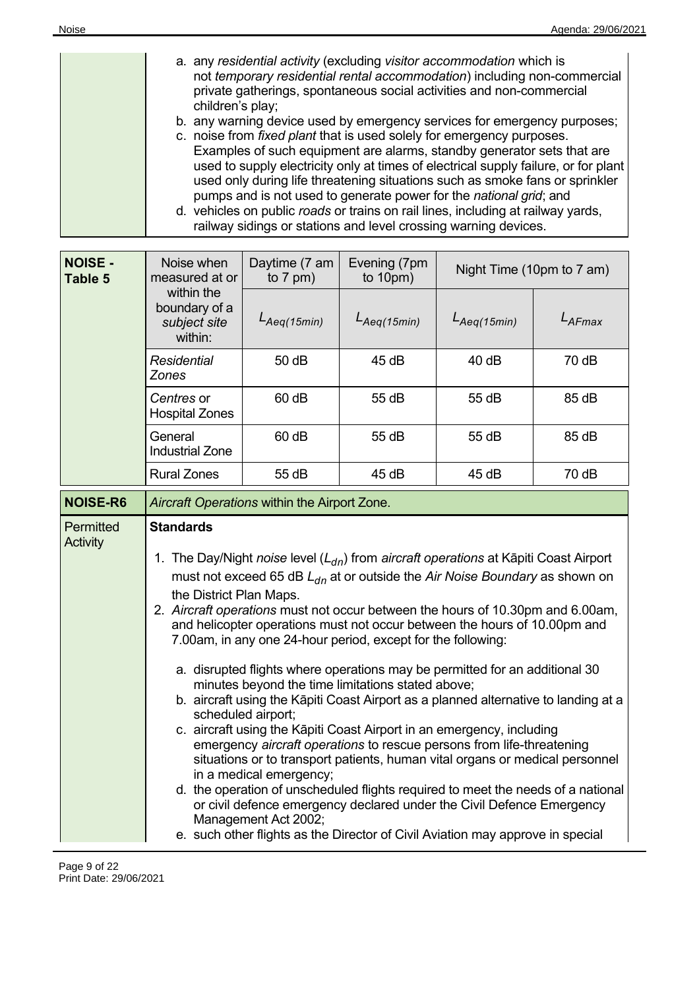| a. any residential activity (excluding visitor accommodation which is               |
|-------------------------------------------------------------------------------------|
| not temporary residential rental accommodation) including non-commercial            |
| private gatherings, spontaneous social activities and non-commercial                |
| children's play;                                                                    |
| b. any warning device used by emergency services for emergency purposes;            |
| c. noise from fixed plant that is used solely for emergency purposes.               |
| Examples of such equipment are alarms, standby generator sets that are              |
| used to supply electricity only at times of electrical supply failure, or for plant |
| used only during life threatening situations such as smoke fans or sprinkler        |
| pumps and is not used to generate power for the national grid; and                  |
| d. vehicles on public roads or trains on rail lines, including at railway yards,    |
| railway sidings or stations and level crossing warning devices.                     |

| <b>NOISE -</b><br>Table 5    | Daytime (7 am<br>Noise when<br>measured at or<br>to $7$ pm)                                                                                                                                                                                                                                                                                                                                                                                                                                                                                                                                                                                                                                                                                                                                                                                                                                                                                                                                                                                                                                                                                                                                                                                                                                    |                  | Evening (7pm<br>to $10pm)$ | Night Time (10pm to 7 am) |             |
|------------------------------|------------------------------------------------------------------------------------------------------------------------------------------------------------------------------------------------------------------------------------------------------------------------------------------------------------------------------------------------------------------------------------------------------------------------------------------------------------------------------------------------------------------------------------------------------------------------------------------------------------------------------------------------------------------------------------------------------------------------------------------------------------------------------------------------------------------------------------------------------------------------------------------------------------------------------------------------------------------------------------------------------------------------------------------------------------------------------------------------------------------------------------------------------------------------------------------------------------------------------------------------------------------------------------------------|------------------|----------------------------|---------------------------|-------------|
|                              | within the<br>boundary of a<br>subject site<br>within:                                                                                                                                                                                                                                                                                                                                                                                                                                                                                                                                                                                                                                                                                                                                                                                                                                                                                                                                                                                                                                                                                                                                                                                                                                         | $L_{Aeq(15min)}$ | $L_{Aeq(15min)}$           | $L_{Aeq(15min)}$          | $L_{AFmax}$ |
|                              | <b>Residential</b><br><b>Zones</b>                                                                                                                                                                                                                                                                                                                                                                                                                                                                                                                                                                                                                                                                                                                                                                                                                                                                                                                                                                                                                                                                                                                                                                                                                                                             | 50 dB            | 45 dB                      | 40 dB                     | 70 dB       |
|                              | Centres or<br><b>Hospital Zones</b>                                                                                                                                                                                                                                                                                                                                                                                                                                                                                                                                                                                                                                                                                                                                                                                                                                                                                                                                                                                                                                                                                                                                                                                                                                                            | 60 dB            | 55 dB                      | 55 dB                     | 85 dB       |
|                              | General<br><b>Industrial Zone</b>                                                                                                                                                                                                                                                                                                                                                                                                                                                                                                                                                                                                                                                                                                                                                                                                                                                                                                                                                                                                                                                                                                                                                                                                                                                              | 60 dB            | 55 dB                      | 55 dB                     | 85 dB       |
|                              | <b>Rural Zones</b>                                                                                                                                                                                                                                                                                                                                                                                                                                                                                                                                                                                                                                                                                                                                                                                                                                                                                                                                                                                                                                                                                                                                                                                                                                                                             | 55 dB            | 45 dB                      | 45 dB                     | 70 dB       |
| <b>NOISE-R6</b>              |                                                                                                                                                                                                                                                                                                                                                                                                                                                                                                                                                                                                                                                                                                                                                                                                                                                                                                                                                                                                                                                                                                                                                                                                                                                                                                |                  |                            |                           |             |
| Permitted<br><b>Activity</b> | Aircraft Operations within the Airport Zone.<br><b>Standards</b><br>1. The Day/Night noise level $(L_{dn})$ from aircraft operations at Kāpiti Coast Airport<br>must not exceed 65 dB $L_{dn}$ at or outside the Air Noise Boundary as shown on<br>the District Plan Maps.<br>2. Aircraft operations must not occur between the hours of 10.30pm and 6.00am,<br>and helicopter operations must not occur between the hours of 10.00pm and<br>7.00am, in any one 24-hour period, except for the following:<br>a. disrupted flights where operations may be permitted for an additional 30<br>minutes beyond the time limitations stated above;<br>b. aircraft using the Kāpiti Coast Airport as a planned alternative to landing at a<br>scheduled airport;<br>c. aircraft using the Kāpiti Coast Airport in an emergency, including<br>emergency aircraft operations to rescue persons from life-threatening<br>situations or to transport patients, human vital organs or medical personnel<br>in a medical emergency;<br>d. the operation of unscheduled flights required to meet the needs of a national<br>or civil defence emergency declared under the Civil Defence Emergency<br>Management Act 2002;<br>e. such other flights as the Director of Civil Aviation may approve in special |                  |                            |                           |             |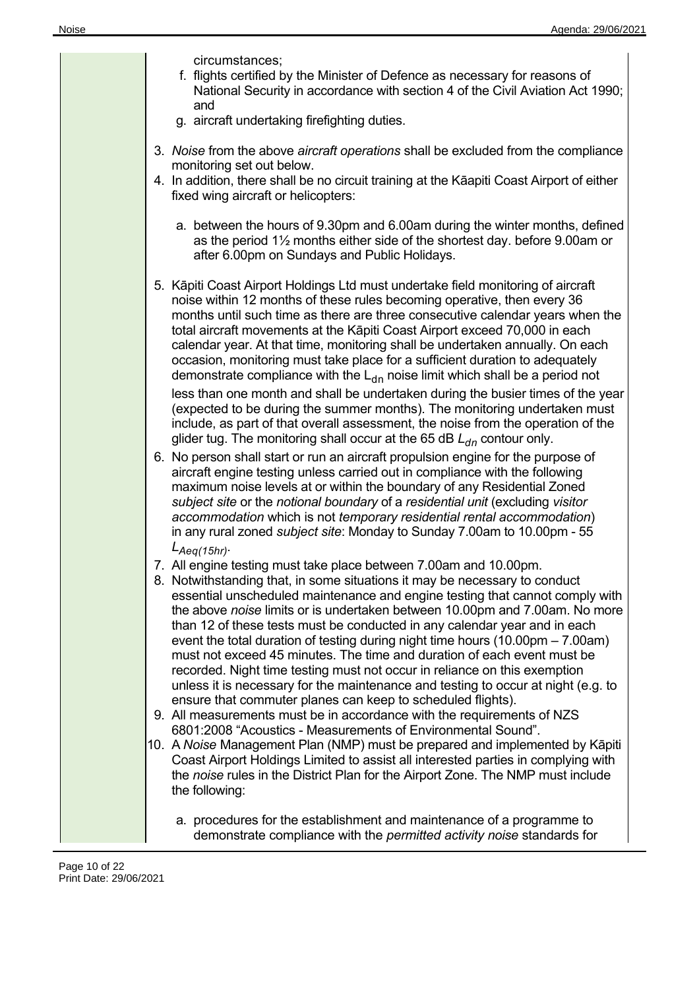|  | circumstances;<br>f. flights certified by the Minister of Defence as necessary for reasons of<br>National Security in accordance with section 4 of the Civil Aviation Act 1990;<br>and<br>g. aircraft undertaking firefighting duties.                                                                                                                                                                                                                                                                                                                                                                                                                                                                                                                                                                                                                                                                                                                                                                                                                   |
|--|----------------------------------------------------------------------------------------------------------------------------------------------------------------------------------------------------------------------------------------------------------------------------------------------------------------------------------------------------------------------------------------------------------------------------------------------------------------------------------------------------------------------------------------------------------------------------------------------------------------------------------------------------------------------------------------------------------------------------------------------------------------------------------------------------------------------------------------------------------------------------------------------------------------------------------------------------------------------------------------------------------------------------------------------------------|
|  | 3. Noise from the above aircraft operations shall be excluded from the compliance<br>monitoring set out below.<br>4. In addition, there shall be no circuit training at the Kāapiti Coast Airport of either<br>fixed wing aircraft or helicopters:                                                                                                                                                                                                                                                                                                                                                                                                                                                                                                                                                                                                                                                                                                                                                                                                       |
|  | a. between the hours of 9.30pm and 6.00am during the winter months, defined<br>as the period $1\frac{1}{2}$ months either side of the shortest day. before 9.00am or<br>after 6.00pm on Sundays and Public Holidays.                                                                                                                                                                                                                                                                                                                                                                                                                                                                                                                                                                                                                                                                                                                                                                                                                                     |
|  | 5. Kāpiti Coast Airport Holdings Ltd must undertake field monitoring of aircraft<br>noise within 12 months of these rules becoming operative, then every 36<br>months until such time as there are three consecutive calendar years when the<br>total aircraft movements at the Kāpiti Coast Airport exceed 70,000 in each<br>calendar year. At that time, monitoring shall be undertaken annually. On each<br>occasion, monitoring must take place for a sufficient duration to adequately<br>demonstrate compliance with the $L_{dn}$ noise limit which shall be a period not<br>less than one month and shall be undertaken during the busier times of the year<br>(expected to be during the summer months). The monitoring undertaken must<br>include, as part of that overall assessment, the noise from the operation of the<br>glider tug. The monitoring shall occur at the 65 dB $L_{dn}$ contour only.                                                                                                                                        |
|  | 6. No person shall start or run an aircraft propulsion engine for the purpose of<br>aircraft engine testing unless carried out in compliance with the following<br>maximum noise levels at or within the boundary of any Residential Zoned<br>subject site or the notional boundary of a residential unit (excluding visitor<br>accommodation which is not temporary residential rental accommodation)<br>in any rural zoned subject site: Monday to Sunday 7.00am to 10.00pm - 55                                                                                                                                                                                                                                                                                                                                                                                                                                                                                                                                                                       |
|  | $L_{Aeq(15hr)}$<br>7. All engine testing must take place between 7.00am and 10.00pm.<br>8. Notwithstanding that, in some situations it may be necessary to conduct<br>essential unscheduled maintenance and engine testing that cannot comply with<br>the above noise limits or is undertaken between 10.00pm and 7.00am. No more<br>than 12 of these tests must be conducted in any calendar year and in each<br>event the total duration of testing during night time hours $(10.00 \text{pm} - 7.00 \text{am})$<br>must not exceed 45 minutes. The time and duration of each event must be<br>recorded. Night time testing must not occur in reliance on this exemption<br>unless it is necessary for the maintenance and testing to occur at night (e.g. to<br>ensure that commuter planes can keep to scheduled flights).<br>9. All measurements must be in accordance with the requirements of NZS<br>6801:2008 "Acoustics - Measurements of Environmental Sound".<br>10. A Noise Management Plan (NMP) must be prepared and implemented by Kāpiti |
|  | Coast Airport Holdings Limited to assist all interested parties in complying with<br>the noise rules in the District Plan for the Airport Zone. The NMP must include<br>the following:                                                                                                                                                                                                                                                                                                                                                                                                                                                                                                                                                                                                                                                                                                                                                                                                                                                                   |
|  | a. procedures for the establishment and maintenance of a programme to<br>demonstrate compliance with the permitted activity noise standards for                                                                                                                                                                                                                                                                                                                                                                                                                                                                                                                                                                                                                                                                                                                                                                                                                                                                                                          |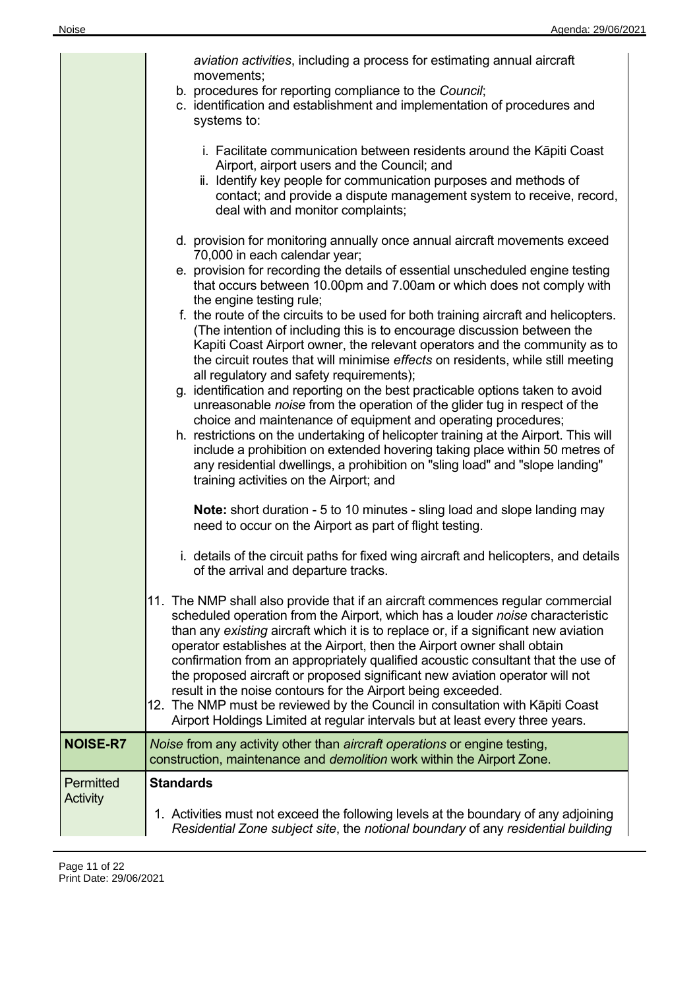|                       | aviation activities, including a process for estimating annual aircraft<br>movements;<br>b. procedures for reporting compliance to the Council;<br>c. identification and establishment and implementation of procedures and<br>systems to:                                                                                                                                                                                                                                                                                                                                                                                                                                                                                                                                                                                                                                                                                                                                                                                                                                                                                                                                                                        |
|-----------------------|-------------------------------------------------------------------------------------------------------------------------------------------------------------------------------------------------------------------------------------------------------------------------------------------------------------------------------------------------------------------------------------------------------------------------------------------------------------------------------------------------------------------------------------------------------------------------------------------------------------------------------------------------------------------------------------------------------------------------------------------------------------------------------------------------------------------------------------------------------------------------------------------------------------------------------------------------------------------------------------------------------------------------------------------------------------------------------------------------------------------------------------------------------------------------------------------------------------------|
|                       | i. Facilitate communication between residents around the Kāpiti Coast<br>Airport, airport users and the Council; and<br>ii. Identify key people for communication purposes and methods of<br>contact; and provide a dispute management system to receive, record,<br>deal with and monitor complaints;                                                                                                                                                                                                                                                                                                                                                                                                                                                                                                                                                                                                                                                                                                                                                                                                                                                                                                            |
|                       | d. provision for monitoring annually once annual aircraft movements exceed<br>70,000 in each calendar year;<br>e. provision for recording the details of essential unscheduled engine testing<br>that occurs between 10.00pm and 7.00am or which does not comply with<br>the engine testing rule;<br>f. the route of the circuits to be used for both training aircraft and helicopters.<br>(The intention of including this is to encourage discussion between the<br>Kapiti Coast Airport owner, the relevant operators and the community as to<br>the circuit routes that will minimise effects on residents, while still meeting<br>all regulatory and safety requirements);<br>g. identification and reporting on the best practicable options taken to avoid<br>unreasonable noise from the operation of the glider tug in respect of the<br>choice and maintenance of equipment and operating procedures;<br>h. restrictions on the undertaking of helicopter training at the Airport. This will<br>include a prohibition on extended hovering taking place within 50 metres of<br>any residential dwellings, a prohibition on "sling load" and "slope landing"<br>training activities on the Airport; and |
|                       | <b>Note:</b> short duration - 5 to 10 minutes - sling load and slope landing may<br>need to occur on the Airport as part of flight testing.<br>i. details of the circuit paths for fixed wing aircraft and helicopters, and details                                                                                                                                                                                                                                                                                                                                                                                                                                                                                                                                                                                                                                                                                                                                                                                                                                                                                                                                                                               |
|                       | of the arrival and departure tracks.                                                                                                                                                                                                                                                                                                                                                                                                                                                                                                                                                                                                                                                                                                                                                                                                                                                                                                                                                                                                                                                                                                                                                                              |
|                       | 11. The NMP shall also provide that if an aircraft commences regular commercial<br>scheduled operation from the Airport, which has a louder noise characteristic<br>than any existing aircraft which it is to replace or, if a significant new aviation<br>operator establishes at the Airport, then the Airport owner shall obtain<br>confirmation from an appropriately qualified acoustic consultant that the use of<br>the proposed aircraft or proposed significant new aviation operator will not<br>result in the noise contours for the Airport being exceeded.<br>12. The NMP must be reviewed by the Council in consultation with Kāpiti Coast<br>Airport Holdings Limited at regular intervals but at least every three years.                                                                                                                                                                                                                                                                                                                                                                                                                                                                         |
| <b>NOISE-R7</b>       | Noise from any activity other than aircraft operations or engine testing,<br>construction, maintenance and demolition work within the Airport Zone.                                                                                                                                                                                                                                                                                                                                                                                                                                                                                                                                                                                                                                                                                                                                                                                                                                                                                                                                                                                                                                                               |
| Permitted<br>Activity | <b>Standards</b>                                                                                                                                                                                                                                                                                                                                                                                                                                                                                                                                                                                                                                                                                                                                                                                                                                                                                                                                                                                                                                                                                                                                                                                                  |
|                       | 1. Activities must not exceed the following levels at the boundary of any adjoining<br>Residential Zone subject site, the notional boundary of any residential building                                                                                                                                                                                                                                                                                                                                                                                                                                                                                                                                                                                                                                                                                                                                                                                                                                                                                                                                                                                                                                           |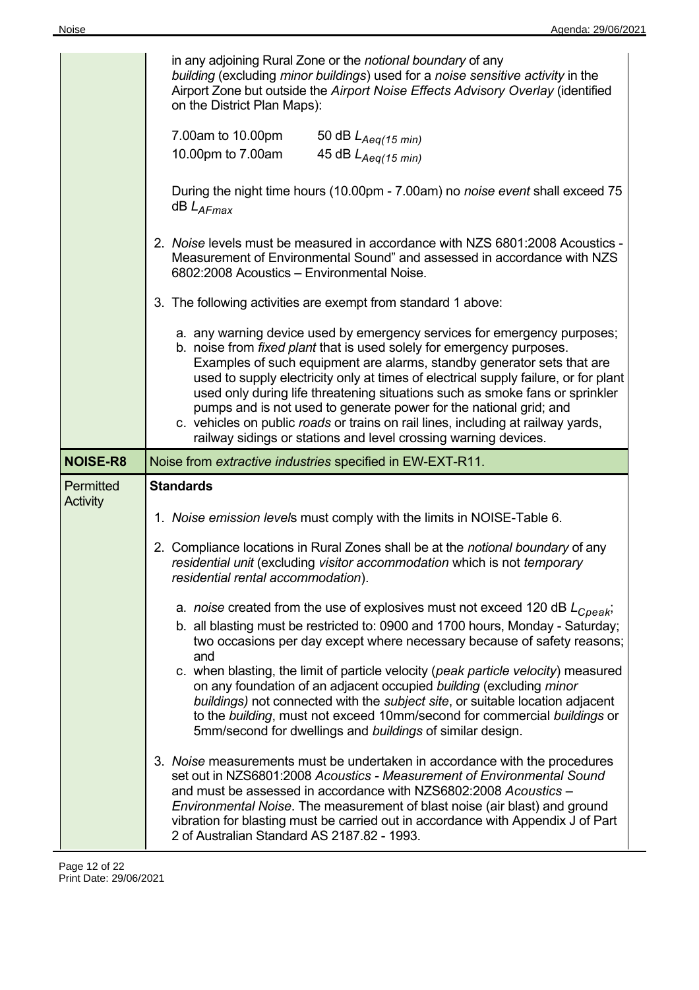|                 | in any adjoining Rural Zone or the notional boundary of any<br>building (excluding minor buildings) used for a noise sensitive activity in the<br>Airport Zone but outside the Airport Noise Effects Advisory Overlay (identified<br>on the District Plan Maps):                                                                                                                                                                                                                                                                                                                                                                |
|-----------------|---------------------------------------------------------------------------------------------------------------------------------------------------------------------------------------------------------------------------------------------------------------------------------------------------------------------------------------------------------------------------------------------------------------------------------------------------------------------------------------------------------------------------------------------------------------------------------------------------------------------------------|
|                 | 7.00am to 10.00pm<br>50 dB $L_{Aeq(15 min)}$<br>45 dB $L_{Aeq(15 min)}$<br>10.00pm to 7.00am                                                                                                                                                                                                                                                                                                                                                                                                                                                                                                                                    |
|                 | During the night time hours (10.00pm - 7.00am) no noise event shall exceed 75<br>$dB$ $L_{AFmax}$                                                                                                                                                                                                                                                                                                                                                                                                                                                                                                                               |
|                 | 2. Noise levels must be measured in accordance with NZS 6801:2008 Acoustics -<br>Measurement of Environmental Sound" and assessed in accordance with NZS<br>6802:2008 Acoustics - Environmental Noise.                                                                                                                                                                                                                                                                                                                                                                                                                          |
|                 | 3. The following activities are exempt from standard 1 above:                                                                                                                                                                                                                                                                                                                                                                                                                                                                                                                                                                   |
|                 | a. any warning device used by emergency services for emergency purposes;<br>b. noise from fixed plant that is used solely for emergency purposes.<br>Examples of such equipment are alarms, standby generator sets that are<br>used to supply electricity only at times of electrical supply failure, or for plant<br>used only during life threatening situations such as smoke fans or sprinkler<br>pumps and is not used to generate power for the national grid; and<br>c. vehicles on public roads or trains on rail lines, including at railway yards,<br>railway sidings or stations and level crossing warning devices. |
|                 |                                                                                                                                                                                                                                                                                                                                                                                                                                                                                                                                                                                                                                 |
| <b>NOISE-R8</b> | Noise from extractive industries specified in EW-EXT-R11.                                                                                                                                                                                                                                                                                                                                                                                                                                                                                                                                                                       |
| Permitted       | <b>Standards</b>                                                                                                                                                                                                                                                                                                                                                                                                                                                                                                                                                                                                                |
| <b>Activity</b> | 1. Noise emission levels must comply with the limits in NOISE-Table 6.                                                                                                                                                                                                                                                                                                                                                                                                                                                                                                                                                          |
|                 | 2. Compliance locations in Rural Zones shall be at the notional boundary of any<br>residential unit (excluding visitor accommodation which is not temporary<br>residential rental accommodation).                                                                                                                                                                                                                                                                                                                                                                                                                               |
|                 | a. noise created from the use of explosives must not exceed 120 dB $L_{Cpeak}$ ;<br>b. all blasting must be restricted to: 0900 and 1700 hours, Monday - Saturday;<br>two occasions per day except where necessary because of safety reasons;<br>and                                                                                                                                                                                                                                                                                                                                                                            |
|                 | c. when blasting, the limit of particle velocity (peak particle velocity) measured<br>on any foundation of an adjacent occupied building (excluding minor<br>buildings) not connected with the subject site, or suitable location adjacent<br>to the building, must not exceed 10mm/second for commercial buildings or<br>5mm/second for dwellings and buildings of similar design.                                                                                                                                                                                                                                             |

 $\overline{a}$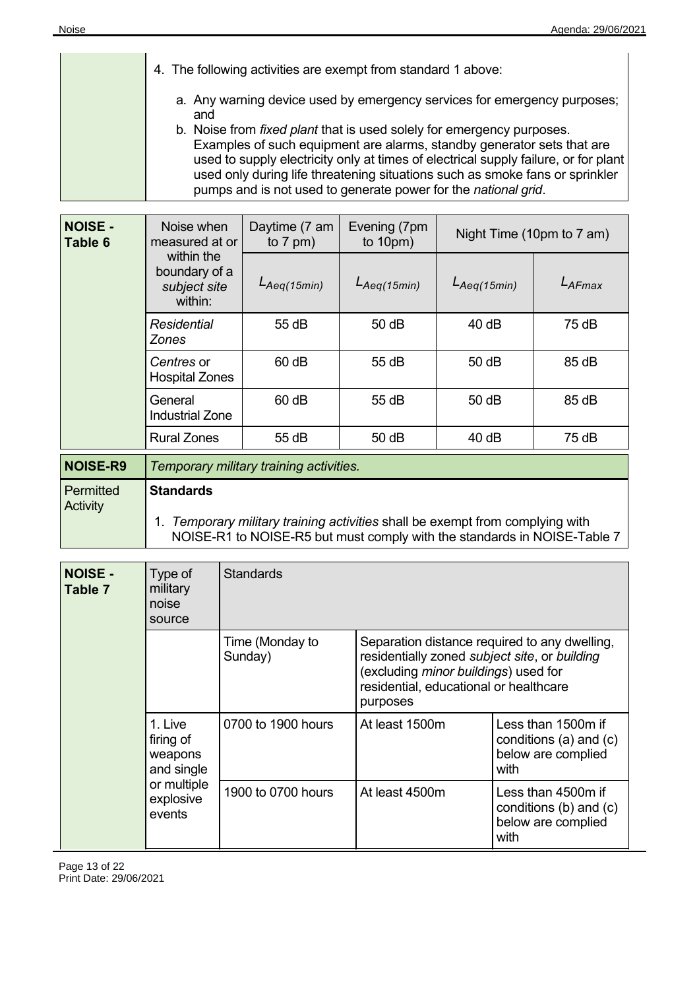| 4. The following activities are exempt from standard 1 above:                                                                                                                                                                                                                                                                                                                                   |
|-------------------------------------------------------------------------------------------------------------------------------------------------------------------------------------------------------------------------------------------------------------------------------------------------------------------------------------------------------------------------------------------------|
| a. Any warning device used by emergency services for emergency purposes;<br>and                                                                                                                                                                                                                                                                                                                 |
| b. Noise from <i>fixed plant</i> that is used solely for emergency purposes.<br>Examples of such equipment are alarms, standby generator sets that are<br>used to supply electricity only at times of electrical supply failure, or for plant<br>used only during life threatening situations such as smoke fans or sprinkler<br>pumps and is not used to generate power for the national grid. |

| <b>NOISE -</b><br>Table 6 | Noise when<br>measured at or                           | Daytime (7 am<br>to $7$ pm) | Evening (7pm<br>to $10 \text{pm}$ ) | Night Time (10pm to 7 am) |           |
|---------------------------|--------------------------------------------------------|-----------------------------|-------------------------------------|---------------------------|-----------|
|                           | within the<br>boundary of a<br>subject site<br>within: | $L_{Aeq(15min)}$            | $L_{Aeq(15min)}$                    | $L_{Aeq(15min)}$          | $L$ AFmax |
|                           | <b>Residential</b><br>Zones                            | 55 dB                       | 50dB                                | 40dB                      | 75 dB     |
|                           | Centres or<br><b>Hospital Zones</b>                    | 60 dB                       | 55 dB                               | 50dB                      | 85 dB     |
|                           | General<br><b>Industrial Zone</b>                      | $60$ dB                     | 55 dB                               | 50dB                      | 85 dB     |
|                           | <b>Rural Zones</b>                                     | 55 dB                       | 50 dB                               | 40dB                      | 75dB      |

| <b>NOISE-R9</b>       | Temporary military training activities.                                                                                                                                    |
|-----------------------|----------------------------------------------------------------------------------------------------------------------------------------------------------------------------|
| Permitted<br>Activity | <b>Standards</b><br>Temporary military training activities shall be exempt from complying with<br>NOISE-R1 to NOISE-R5 but must comply with the standards in NOISE-Table 7 |

| <b>NOISE -</b><br>Table 7 | Type of<br>military<br>noise<br>source                                              | <b>Standards</b>           |                                                                                                                                                                                              |                                                                                |
|---------------------------|-------------------------------------------------------------------------------------|----------------------------|----------------------------------------------------------------------------------------------------------------------------------------------------------------------------------------------|--------------------------------------------------------------------------------|
|                           |                                                                                     | Time (Monday to<br>Sunday) | Separation distance required to any dwelling,<br>residentially zoned subject site, or building<br>(excluding minor buildings) used for<br>residential, educational or healthcare<br>purposes |                                                                                |
|                           | 1. Live<br>firing of<br>weapons<br>and single<br>or multiple<br>explosive<br>events | 0700 to 1900 hours         | At least 1500m                                                                                                                                                                               | Less than 1500m if<br>conditions $(a)$ and $(c)$<br>below are complied<br>with |
|                           |                                                                                     | 1900 to 0700 hours         | At least 4500m                                                                                                                                                                               | Less than 4500m if<br>conditions $(b)$ and $(c)$<br>below are complied<br>with |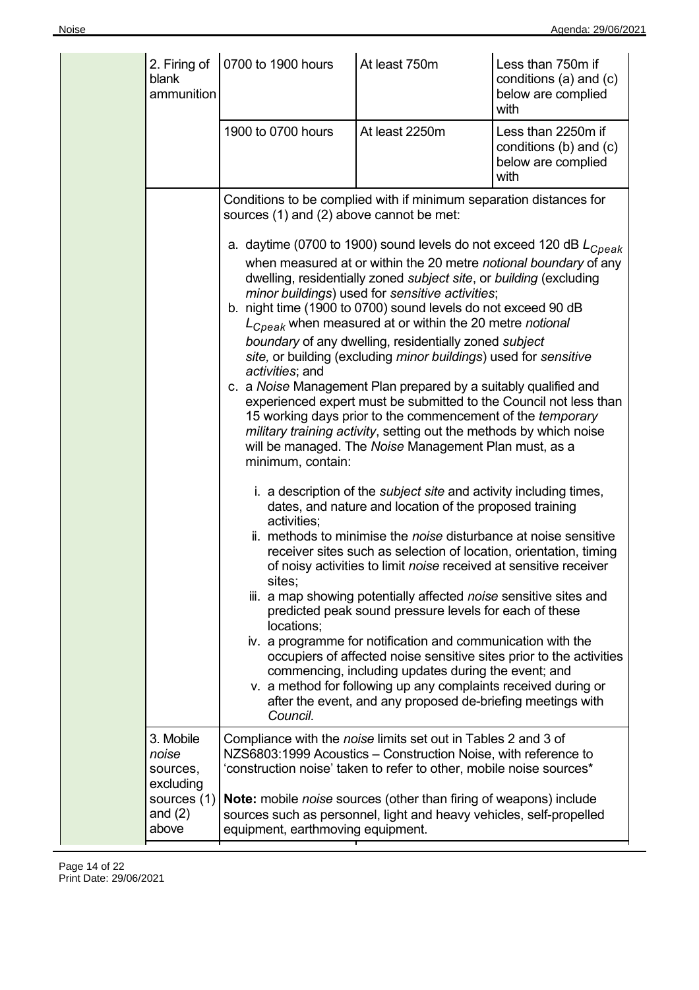| 2. Firing of<br>blank<br>ammunition         | 0700 to 1900 hours                                                                      | At least 750m                                                                                                                                                                                                                                                                                                                                                                                                                                                                                                                                                                                                                                                                                                                                                                                                                                                                                                                                                                                                                                                                                                                                                                                                                                                                                                                                                                                                                                                                                                                                                                                                                                                                              | Less than 750m if<br>conditions (a) and (c)<br>below are complied<br>with  |
|---------------------------------------------|-----------------------------------------------------------------------------------------|--------------------------------------------------------------------------------------------------------------------------------------------------------------------------------------------------------------------------------------------------------------------------------------------------------------------------------------------------------------------------------------------------------------------------------------------------------------------------------------------------------------------------------------------------------------------------------------------------------------------------------------------------------------------------------------------------------------------------------------------------------------------------------------------------------------------------------------------------------------------------------------------------------------------------------------------------------------------------------------------------------------------------------------------------------------------------------------------------------------------------------------------------------------------------------------------------------------------------------------------------------------------------------------------------------------------------------------------------------------------------------------------------------------------------------------------------------------------------------------------------------------------------------------------------------------------------------------------------------------------------------------------------------------------------------------------|----------------------------------------------------------------------------|
|                                             | 1900 to 0700 hours                                                                      | At least 2250m                                                                                                                                                                                                                                                                                                                                                                                                                                                                                                                                                                                                                                                                                                                                                                                                                                                                                                                                                                                                                                                                                                                                                                                                                                                                                                                                                                                                                                                                                                                                                                                                                                                                             | Less than 2250m if<br>conditions (b) and (c)<br>below are complied<br>with |
|                                             | sources (1) and (2) above cannot be met:                                                | Conditions to be complied with if minimum separation distances for                                                                                                                                                                                                                                                                                                                                                                                                                                                                                                                                                                                                                                                                                                                                                                                                                                                                                                                                                                                                                                                                                                                                                                                                                                                                                                                                                                                                                                                                                                                                                                                                                         |                                                                            |
|                                             | activities; and<br>minimum, contain:<br>activities;<br>sites;<br>locations;<br>Council. | a. daytime (0700 to 1900) sound levels do not exceed 120 dB $L_{Cpeak}$<br>when measured at or within the 20 metre notional boundary of any<br>dwelling, residentially zoned subject site, or building (excluding<br>minor buildings) used for sensitive activities;<br>b. night time (1900 to 0700) sound levels do not exceed 90 dB<br>$L_{Cpeak}$ when measured at or within the 20 metre notional<br>boundary of any dwelling, residentially zoned subject<br>site, or building (excluding minor buildings) used for sensitive<br>c. a Noise Management Plan prepared by a suitably qualified and<br>experienced expert must be submitted to the Council not less than<br>15 working days prior to the commencement of the temporary<br>military training activity, setting out the methods by which noise<br>will be managed. The Noise Management Plan must, as a<br>i. a description of the <i>subject site</i> and activity including times,<br>dates, and nature and location of the proposed training<br>ii. methods to minimise the noise disturbance at noise sensitive<br>receiver sites such as selection of location, orientation, timing<br>of noisy activities to limit noise received at sensitive receiver<br>iii. a map showing potentially affected noise sensitive sites and<br>predicted peak sound pressure levels for each of these<br>iv. a programme for notification and communication with the<br>occupiers of affected noise sensitive sites prior to the activities<br>commencing, including updates during the event; and<br>v. a method for following up any complaints received during or<br>after the event, and any proposed de-briefing meetings with |                                                                            |
| 3. Mobile<br>noise<br>sources,<br>excluding |                                                                                         | Compliance with the noise limits set out in Tables 2 and 3 of<br>NZS6803:1999 Acoustics - Construction Noise, with reference to<br>'construction noise' taken to refer to other, mobile noise sources*                                                                                                                                                                                                                                                                                                                                                                                                                                                                                                                                                                                                                                                                                                                                                                                                                                                                                                                                                                                                                                                                                                                                                                                                                                                                                                                                                                                                                                                                                     |                                                                            |
| sources (1)<br>and $(2)$<br>above           | equipment, earthmoving equipment.                                                       | Note: mobile noise sources (other than firing of weapons) include<br>sources such as personnel, light and heavy vehicles, self-propelled                                                                                                                                                                                                                                                                                                                                                                                                                                                                                                                                                                                                                                                                                                                                                                                                                                                                                                                                                                                                                                                                                                                                                                                                                                                                                                                                                                                                                                                                                                                                                   |                                                                            |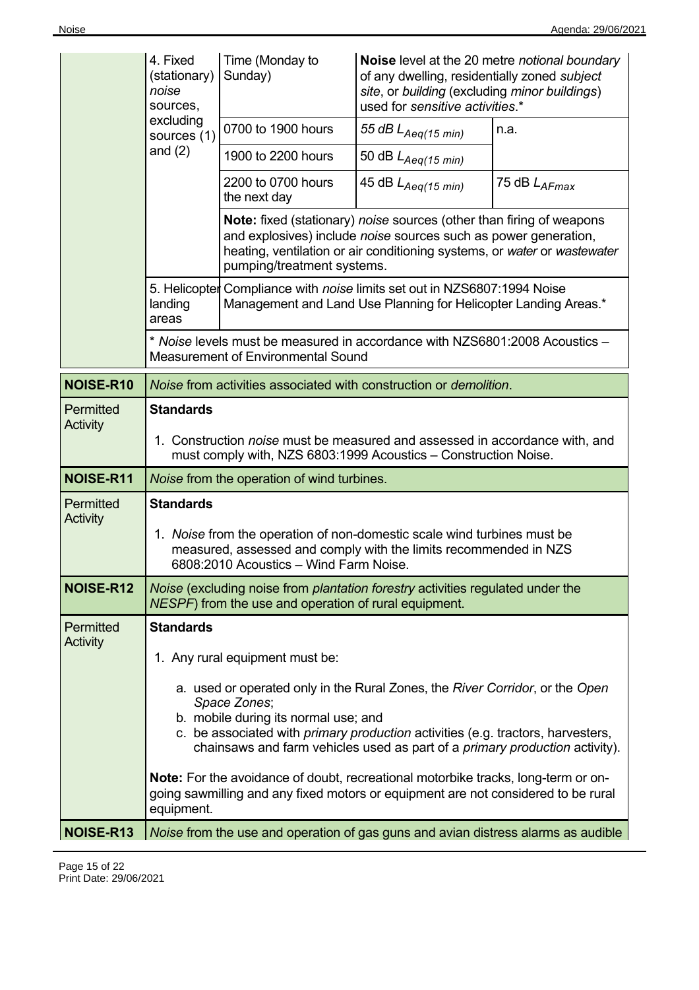| loise |  |
|-------|--|
|       |  |
|       |  |
|       |  |

|                       | 4. Fixed<br>(stationary)<br>noise<br>sources,                                                                                                                                                                                                                                                                        | Time (Monday to<br>Sunday)                                                                                                                                                                                                                               | Noise level at the 20 metre notional boundary<br>of any dwelling, residentially zoned subject<br>site, or building (excluding minor buildings)<br>used for sensitive activities.* |              |  |
|-----------------------|----------------------------------------------------------------------------------------------------------------------------------------------------------------------------------------------------------------------------------------------------------------------------------------------------------------------|----------------------------------------------------------------------------------------------------------------------------------------------------------------------------------------------------------------------------------------------------------|-----------------------------------------------------------------------------------------------------------------------------------------------------------------------------------|--------------|--|
|                       | excluding<br>sources (1)                                                                                                                                                                                                                                                                                             | 0700 to 1900 hours                                                                                                                                                                                                                                       | 55 dB $L_{Aeq(15 min)}$                                                                                                                                                           | n.a.         |  |
|                       | and $(2)$                                                                                                                                                                                                                                                                                                            | 1900 to 2200 hours                                                                                                                                                                                                                                       | 50 dB $L_{Aeq(15 min)}$                                                                                                                                                           |              |  |
|                       |                                                                                                                                                                                                                                                                                                                      | 2200 to 0700 hours<br>the next day                                                                                                                                                                                                                       | 45 dB $L_{Aeq(15 min)}$                                                                                                                                                           | 75 dB LAFmax |  |
|                       |                                                                                                                                                                                                                                                                                                                      | <b>Note:</b> fixed (stationary) noise sources (other than firing of weapons<br>and explosives) include noise sources such as power generation,<br>heating, ventilation or air conditioning systems, or water or wastewater<br>pumping/treatment systems. |                                                                                                                                                                                   |              |  |
|                       | landing<br>areas                                                                                                                                                                                                                                                                                                     |                                                                                                                                                                                                                                                          | 5. Helicopter Compliance with noise limits set out in NZS6807:1994 Noise<br>Management and Land Use Planning for Helicopter Landing Areas.*                                       |              |  |
|                       |                                                                                                                                                                                                                                                                                                                      | * Noise levels must be measured in accordance with NZS6801:2008 Acoustics -<br><b>Measurement of Environmental Sound</b>                                                                                                                                 |                                                                                                                                                                                   |              |  |
| NOISE-R10             | Noise from activities associated with construction or demolition.                                                                                                                                                                                                                                                    |                                                                                                                                                                                                                                                          |                                                                                                                                                                                   |              |  |
| Permitted<br>Activity | <b>Standards</b>                                                                                                                                                                                                                                                                                                     |                                                                                                                                                                                                                                                          |                                                                                                                                                                                   |              |  |
|                       | 1. Construction <i>noise</i> must be measured and assessed in accordance with, and<br>must comply with, NZS 6803:1999 Acoustics - Construction Noise.                                                                                                                                                                |                                                                                                                                                                                                                                                          |                                                                                                                                                                                   |              |  |
| NOISE-R11             | Noise from the operation of wind turbines.                                                                                                                                                                                                                                                                           |                                                                                                                                                                                                                                                          |                                                                                                                                                                                   |              |  |
| Permitted<br>Activity | <b>Standards</b>                                                                                                                                                                                                                                                                                                     |                                                                                                                                                                                                                                                          |                                                                                                                                                                                   |              |  |
|                       | 1. Noise from the operation of non-domestic scale wind turbines must be<br>measured, assessed and comply with the limits recommended in NZS<br>6808:2010 Acoustics - Wind Farm Noise.                                                                                                                                |                                                                                                                                                                                                                                                          |                                                                                                                                                                                   |              |  |
| NOISE-R12             | Noise (excluding noise from plantation forestry activities regulated under the<br>NESPF) from the use and operation of rural equipment.                                                                                                                                                                              |                                                                                                                                                                                                                                                          |                                                                                                                                                                                   |              |  |
| Permitted             | <b>Standards</b>                                                                                                                                                                                                                                                                                                     |                                                                                                                                                                                                                                                          |                                                                                                                                                                                   |              |  |
| Activity              |                                                                                                                                                                                                                                                                                                                      | 1. Any rural equipment must be:                                                                                                                                                                                                                          |                                                                                                                                                                                   |              |  |
|                       | a. used or operated only in the Rural Zones, the River Corridor, or the Open<br>Space Zones;<br>b. mobile during its normal use; and<br>c. be associated with <i>primary production</i> activities (e.g. tractors, harvesters,<br>chainsaws and farm vehicles used as part of a <i>primary production</i> activity). |                                                                                                                                                                                                                                                          |                                                                                                                                                                                   |              |  |
|                       | equipment.                                                                                                                                                                                                                                                                                                           |                                                                                                                                                                                                                                                          | <b>Note:</b> For the avoidance of doubt, recreational motorbike tracks, long-term or on-<br>going sawmilling and any fixed motors or equipment are not considered to be rural     |              |  |
| NOISE-R13             |                                                                                                                                                                                                                                                                                                                      |                                                                                                                                                                                                                                                          | Noise from the use and operation of gas guns and avian distress alarms as audible                                                                                                 |              |  |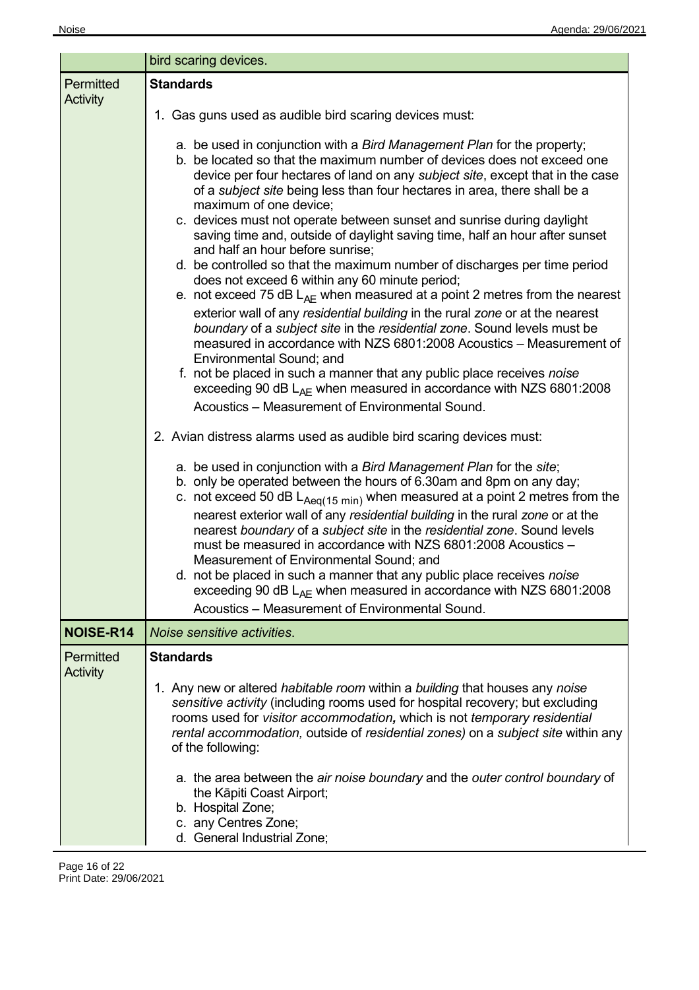|                              | bird scaring devices.                                                                                                                                                                                                                                                                                                                                                                                                                                                                                                                                                                                                                                                                                                                                                                                                                                                                                                                                                                                                                                                                                                                                                                                                              |  |  |  |
|------------------------------|------------------------------------------------------------------------------------------------------------------------------------------------------------------------------------------------------------------------------------------------------------------------------------------------------------------------------------------------------------------------------------------------------------------------------------------------------------------------------------------------------------------------------------------------------------------------------------------------------------------------------------------------------------------------------------------------------------------------------------------------------------------------------------------------------------------------------------------------------------------------------------------------------------------------------------------------------------------------------------------------------------------------------------------------------------------------------------------------------------------------------------------------------------------------------------------------------------------------------------|--|--|--|
| Permitted<br><b>Activity</b> | <b>Standards</b>                                                                                                                                                                                                                                                                                                                                                                                                                                                                                                                                                                                                                                                                                                                                                                                                                                                                                                                                                                                                                                                                                                                                                                                                                   |  |  |  |
|                              | 1. Gas guns used as audible bird scaring devices must:                                                                                                                                                                                                                                                                                                                                                                                                                                                                                                                                                                                                                                                                                                                                                                                                                                                                                                                                                                                                                                                                                                                                                                             |  |  |  |
|                              | a. be used in conjunction with a Bird Management Plan for the property;<br>b. be located so that the maximum number of devices does not exceed one<br>device per four hectares of land on any subject site, except that in the case<br>of a subject site being less than four hectares in area, there shall be a<br>maximum of one device;<br>c. devices must not operate between sunset and sunrise during daylight<br>saving time and, outside of daylight saving time, half an hour after sunset<br>and half an hour before sunrise;<br>d. be controlled so that the maximum number of discharges per time period<br>does not exceed 6 within any 60 minute period;<br>e. not exceed 75 dB $L_{AF}$ when measured at a point 2 metres from the nearest<br>exterior wall of any residential building in the rural zone or at the nearest<br>boundary of a subject site in the residential zone. Sound levels must be<br>measured in accordance with NZS 6801:2008 Acoustics - Measurement of<br>Environmental Sound; and<br>f. not be placed in such a manner that any public place receives noise<br>exceeding 90 dB $L_{AF}$ when measured in accordance with NZS 6801:2008<br>Acoustics – Measurement of Environmental Sound. |  |  |  |
|                              | 2. Avian distress alarms used as audible bird scaring devices must:                                                                                                                                                                                                                                                                                                                                                                                                                                                                                                                                                                                                                                                                                                                                                                                                                                                                                                                                                                                                                                                                                                                                                                |  |  |  |
|                              | a. be used in conjunction with a Bird Management Plan for the site;<br>b. only be operated between the hours of 6.30am and 8pm on any day;<br>c. not exceed 50 dB $L_{Aeq(15 min)}$ when measured at a point 2 metres from the<br>nearest exterior wall of any residential building in the rural zone or at the<br>nearest boundary of a subject site in the residential zone. Sound levels<br>must be measured in accordance with NZS 6801:2008 Acoustics -<br>Measurement of Environmental Sound; and<br>not be placed in such a manner that any public place receives noise<br>d.<br>exceeding 90 dB $L_{AF}$ when measured in accordance with NZS 6801:2008<br>Acoustics – Measurement of Environmental Sound.                                                                                                                                                                                                                                                                                                                                                                                                                                                                                                                 |  |  |  |
| NOISE-R14                    | Noise sensitive activities.                                                                                                                                                                                                                                                                                                                                                                                                                                                                                                                                                                                                                                                                                                                                                                                                                                                                                                                                                                                                                                                                                                                                                                                                        |  |  |  |
| Permitted<br><b>Activity</b> | <b>Standards</b><br>1. Any new or altered <i>habitable room</i> within a <i>building</i> that houses any noise                                                                                                                                                                                                                                                                                                                                                                                                                                                                                                                                                                                                                                                                                                                                                                                                                                                                                                                                                                                                                                                                                                                     |  |  |  |
|                              | sensitive activity (including rooms used for hospital recovery; but excluding<br>rooms used for visitor accommodation, which is not temporary residential<br>rental accommodation, outside of residential zones) on a subject site within any<br>of the following:<br>a. the area between the air noise boundary and the outer control boundary of<br>the Kāpiti Coast Airport;<br>b. Hospital Zone;<br>c. any Centres Zone;<br>d. General Industrial Zone;                                                                                                                                                                                                                                                                                                                                                                                                                                                                                                                                                                                                                                                                                                                                                                        |  |  |  |

 $\overline{a}$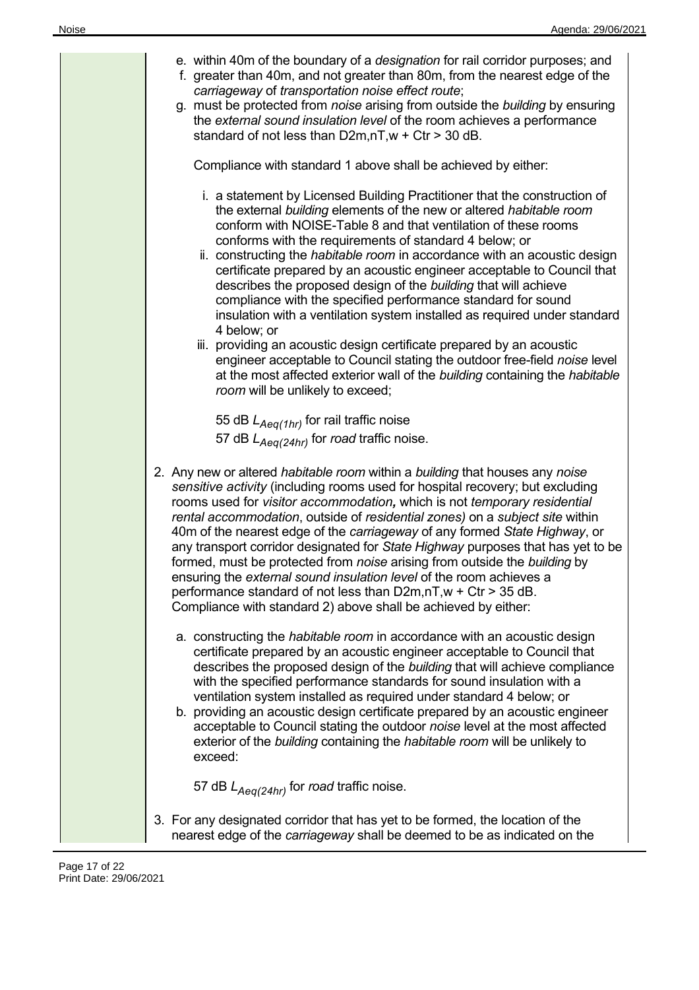| e. within 40m of the boundary of a <i>designation</i> for rail corridor purposes; and<br>f. greater than 40m, and not greater than 80m, from the nearest edge of the<br>carriageway of transportation noise effect route;<br>g. must be protected from noise arising from outside the building by ensuring<br>the external sound insulation level of the room achieves a performance<br>standard of not less than $D2m,nT,w + Ctr > 30$ dB.<br>Compliance with standard 1 above shall be achieved by either:<br>i. a statement by Licensed Building Practitioner that the construction of<br>the external building elements of the new or altered habitable room<br>conform with NOISE-Table 8 and that ventilation of these rooms<br>conforms with the requirements of standard 4 below; or<br>ii. constructing the <i>habitable room</i> in accordance with an acoustic design |
|----------------------------------------------------------------------------------------------------------------------------------------------------------------------------------------------------------------------------------------------------------------------------------------------------------------------------------------------------------------------------------------------------------------------------------------------------------------------------------------------------------------------------------------------------------------------------------------------------------------------------------------------------------------------------------------------------------------------------------------------------------------------------------------------------------------------------------------------------------------------------------|
| certificate prepared by an acoustic engineer acceptable to Council that<br>describes the proposed design of the building that will achieve<br>compliance with the specified performance standard for sound<br>insulation with a ventilation system installed as required under standard<br>4 below; or<br>iii. providing an acoustic design certificate prepared by an acoustic<br>engineer acceptable to Council stating the outdoor free-field noise level                                                                                                                                                                                                                                                                                                                                                                                                                     |
| at the most affected exterior wall of the building containing the habitable<br>room will be unlikely to exceed;<br>55 dB $L_{Aeq(1hr)}$ for rail traffic noise<br>57 dB $L_{Aeq(24hr)}$ for road traffic noise.                                                                                                                                                                                                                                                                                                                                                                                                                                                                                                                                                                                                                                                                  |
| 2. Any new or altered <i>habitable room</i> within a <i>building</i> that houses any noise<br>sensitive activity (including rooms used for hospital recovery; but excluding<br>rooms used for visitor accommodation, which is not temporary residential<br>rental accommodation, outside of residential zones) on a subject site within<br>40m of the nearest edge of the carriageway of any formed State Highway, or<br>any transport corridor designated for State Highway purposes that has yet to be<br>formed, must be protected from noise arising from outside the building by<br>ensuring the external sound insulation level of the room achieves a<br>performance standard of not less than D2m,nT,w + Ctr > 35 dB.<br>Compliance with standard 2) above shall be achieved by either:                                                                                  |
| a. constructing the habitable room in accordance with an acoustic design<br>certificate prepared by an acoustic engineer acceptable to Council that<br>describes the proposed design of the building that will achieve compliance<br>with the specified performance standards for sound insulation with a<br>ventilation system installed as required under standard 4 below; or<br>b. providing an acoustic design certificate prepared by an acoustic engineer<br>acceptable to Council stating the outdoor noise level at the most affected<br>exterior of the building containing the habitable room will be unlikely to<br>exceed:                                                                                                                                                                                                                                          |
| 57 dB $L_{Aeq(24hr)}$ for road traffic noise.<br>3. For any designated corridor that has yet to be formed, the location of the                                                                                                                                                                                                                                                                                                                                                                                                                                                                                                                                                                                                                                                                                                                                                   |
| nearest edge of the carriageway shall be deemed to be as indicated on the                                                                                                                                                                                                                                                                                                                                                                                                                                                                                                                                                                                                                                                                                                                                                                                                        |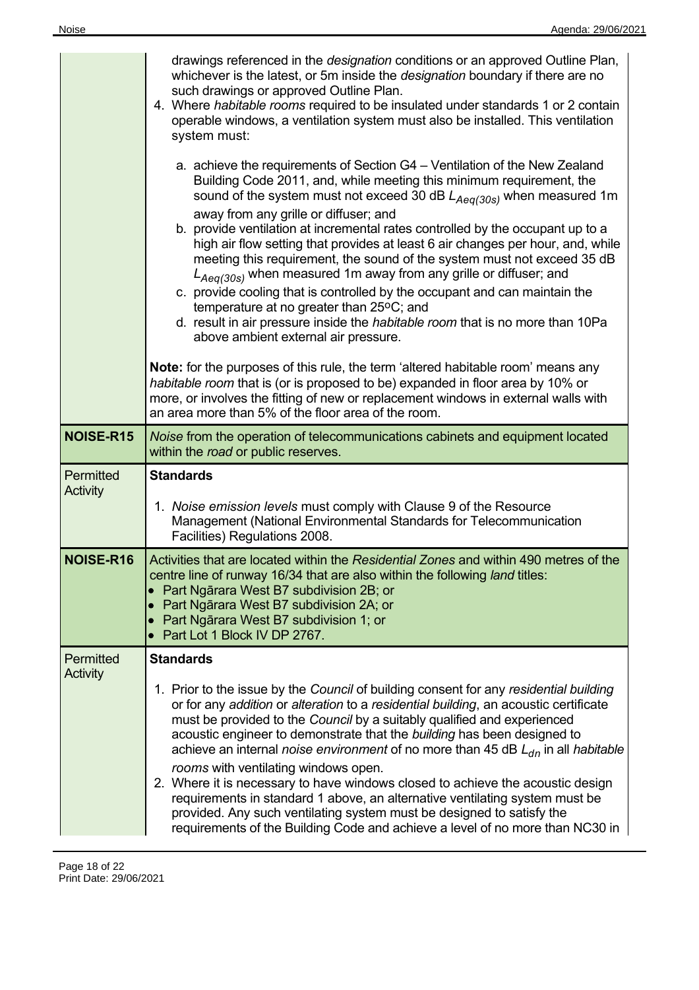|                              | drawings referenced in the <i>designation</i> conditions or an approved Outline Plan,<br>whichever is the latest, or 5m inside the <i>designation</i> boundary if there are no<br>such drawings or approved Outline Plan.<br>4. Where habitable rooms required to be insulated under standards 1 or 2 contain<br>operable windows, a ventilation system must also be installed. This ventilation<br>system must:<br>a. achieve the requirements of Section G4 – Ventilation of the New Zealand<br>Building Code 2011, and, while meeting this minimum requirement, the<br>sound of the system must not exceed 30 dB $L_{Aeq(30s)}$ when measured 1m<br>away from any grille or diffuser; and<br>b. provide ventilation at incremental rates controlled by the occupant up to a<br>high air flow setting that provides at least 6 air changes per hour, and, while<br>meeting this requirement, the sound of the system must not exceed 35 dB<br>$L_{Aeq(30s)}$ when measured 1m away from any grille or diffuser; and<br>c. provide cooling that is controlled by the occupant and can maintain the<br>temperature at no greater than 25°C; and<br>d. result in air pressure inside the <i>habitable room</i> that is no more than 10Pa<br>above ambient external air pressure.<br><b>Note:</b> for the purposes of this rule, the term 'altered habitable room' means any<br>habitable room that is (or is proposed to be) expanded in floor area by 10% or<br>more, or involves the fitting of new or replacement windows in external walls with<br>an area more than 5% of the floor area of the room. |
|------------------------------|-----------------------------------------------------------------------------------------------------------------------------------------------------------------------------------------------------------------------------------------------------------------------------------------------------------------------------------------------------------------------------------------------------------------------------------------------------------------------------------------------------------------------------------------------------------------------------------------------------------------------------------------------------------------------------------------------------------------------------------------------------------------------------------------------------------------------------------------------------------------------------------------------------------------------------------------------------------------------------------------------------------------------------------------------------------------------------------------------------------------------------------------------------------------------------------------------------------------------------------------------------------------------------------------------------------------------------------------------------------------------------------------------------------------------------------------------------------------------------------------------------------------------------------------------------------------------------------------------------------|
| NOISE-R15                    | Noise from the operation of telecommunications cabinets and equipment located<br>within the road or public reserves.                                                                                                                                                                                                                                                                                                                                                                                                                                                                                                                                                                                                                                                                                                                                                                                                                                                                                                                                                                                                                                                                                                                                                                                                                                                                                                                                                                                                                                                                                      |
| Permitted<br>Activity        | <b>Standards</b>                                                                                                                                                                                                                                                                                                                                                                                                                                                                                                                                                                                                                                                                                                                                                                                                                                                                                                                                                                                                                                                                                                                                                                                                                                                                                                                                                                                                                                                                                                                                                                                          |
|                              | 1. Noise emission levels must comply with Clause 9 of the Resource<br>Management (National Environmental Standards for Telecommunication<br>Facilities) Regulations 2008.                                                                                                                                                                                                                                                                                                                                                                                                                                                                                                                                                                                                                                                                                                                                                                                                                                                                                                                                                                                                                                                                                                                                                                                                                                                                                                                                                                                                                                 |
| <b>NOISE-R16</b>             | Activities that are located within the Residential Zones and within 490 metres of the<br>centre line of runway 16/34 that are also within the following land titles:<br>• Part Ngārara West B7 subdivision 2B; or<br>• Part Ngārara West B7 subdivision 2A; or<br>• Part Ngārara West B7 subdivision 1; or<br>Part Lot 1 Block IV DP 2767.                                                                                                                                                                                                                                                                                                                                                                                                                                                                                                                                                                                                                                                                                                                                                                                                                                                                                                                                                                                                                                                                                                                                                                                                                                                                |
| Permitted<br><b>Activity</b> | <b>Standards</b>                                                                                                                                                                                                                                                                                                                                                                                                                                                                                                                                                                                                                                                                                                                                                                                                                                                                                                                                                                                                                                                                                                                                                                                                                                                                                                                                                                                                                                                                                                                                                                                          |
|                              | 1. Prior to the issue by the Council of building consent for any residential building<br>or for any addition or alteration to a residential building, an acoustic certificate<br>must be provided to the Council by a suitably qualified and experienced<br>acoustic engineer to demonstrate that the building has been designed to<br>achieve an internal <i>noise environment</i> of no more than 45 dB $L_{dn}$ in all <i>habitable</i><br>rooms with ventilating windows open.<br>2. Where it is necessary to have windows closed to achieve the acoustic design<br>requirements in standard 1 above, an alternative ventilating system must be<br>provided. Any such ventilating system must be designed to satisfy the<br>requirements of the Building Code and achieve a level of no more than NC30 in                                                                                                                                                                                                                                                                                                                                                                                                                                                                                                                                                                                                                                                                                                                                                                                             |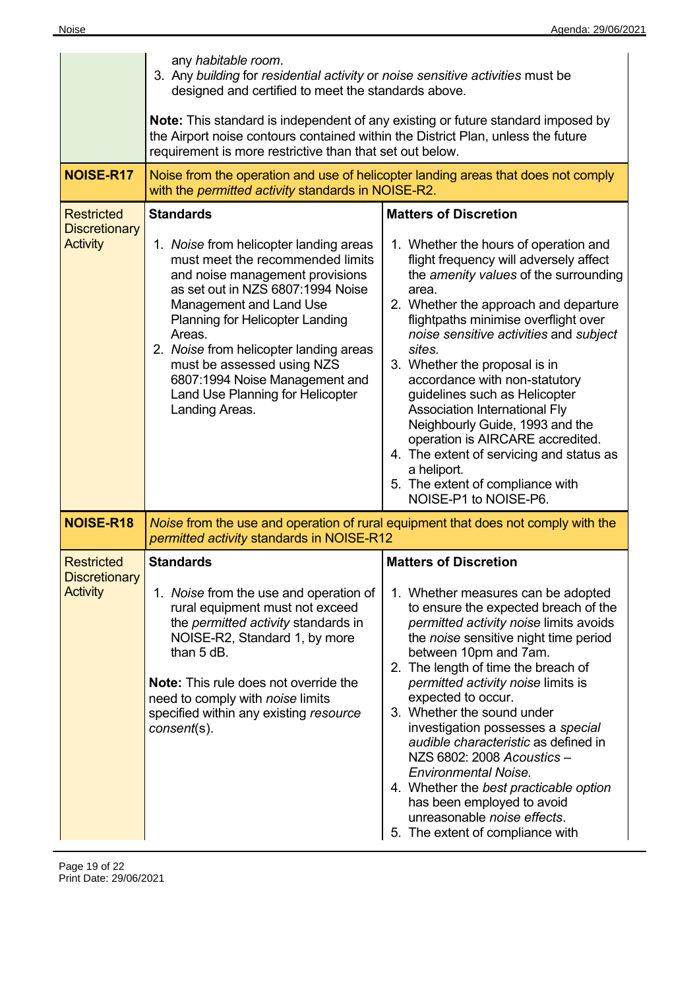|                                                              | any habitable room.<br>3. Any building for residential activity or noise sensitive activities must be<br>designed and certified to meet the standards above.                                                                                                                                                                                                                                                                 |                                                                                                                                                                                                                                                                                                                                                                                                                                                                                                                                                                                                                                                  |  |  |
|--------------------------------------------------------------|------------------------------------------------------------------------------------------------------------------------------------------------------------------------------------------------------------------------------------------------------------------------------------------------------------------------------------------------------------------------------------------------------------------------------|--------------------------------------------------------------------------------------------------------------------------------------------------------------------------------------------------------------------------------------------------------------------------------------------------------------------------------------------------------------------------------------------------------------------------------------------------------------------------------------------------------------------------------------------------------------------------------------------------------------------------------------------------|--|--|
|                                                              | Note: This standard is independent of any existing or future standard imposed by<br>the Airport noise contours contained within the District Plan, unless the future<br>requirement is more restrictive than that set out below.                                                                                                                                                                                             |                                                                                                                                                                                                                                                                                                                                                                                                                                                                                                                                                                                                                                                  |  |  |
| <b>NOISE-R17</b>                                             | Noise from the operation and use of helicopter landing areas that does not comply<br>with the permitted activity standards in NOISE-R2.                                                                                                                                                                                                                                                                                      |                                                                                                                                                                                                                                                                                                                                                                                                                                                                                                                                                                                                                                                  |  |  |
| <b>Restricted</b><br><b>Discretionary</b><br><b>Activity</b> | <b>Standards</b><br>1. Noise from helicopter landing areas<br>must meet the recommended limits<br>and noise management provisions<br>as set out in NZS 6807:1994 Noise<br><b>Management and Land Use</b><br><b>Planning for Helicopter Landing</b><br>Areas.<br>2. Noise from helicopter landing areas<br>must be assessed using NZS<br>6807:1994 Noise Management and<br>Land Use Planning for Helicopter<br>Landing Areas. | <b>Matters of Discretion</b><br>1. Whether the hours of operation and<br>flight frequency will adversely affect<br>the amenity values of the surrounding<br>area.<br>2. Whether the approach and departure<br>flightpaths minimise overflight over<br>noise sensitive activities and subject<br>sites.<br>3. Whether the proposal is in<br>accordance with non-statutory<br>guidelines such as Helicopter<br><b>Association International Fly</b><br>Neighbourly Guide, 1993 and the<br>operation is AIRCARE accredited.<br>4. The extent of servicing and status as<br>a heliport.<br>5. The extent of compliance with<br>NOISE-P1 to NOISE-P6. |  |  |
| <b>NOISE-R18</b>                                             | permitted activity standards in NOISE-R12                                                                                                                                                                                                                                                                                                                                                                                    | Noise from the use and operation of rural equipment that does not comply with the                                                                                                                                                                                                                                                                                                                                                                                                                                                                                                                                                                |  |  |
| <b>Restricted</b><br><b>Discretionary</b><br><b>Activity</b> | <b>Standards</b><br>1. Noise from the use and operation of<br>rural equipment must not exceed<br>the <i>permitted activity</i> standards in<br>NOISE-R2, Standard 1, by more<br>than 5 dB.<br><b>Note:</b> This rule does not override the<br>need to comply with noise limits<br>specified within any existing resource<br>consent(s).                                                                                      | <b>Matters of Discretion</b><br>1. Whether measures can be adopted<br>to ensure the expected breach of the<br>permitted activity noise limits avoids<br>the noise sensitive night time period<br>between 10pm and 7am.<br>2. The length of time the breach of<br>permitted activity noise limits is<br>expected to occur.<br>3. Whether the sound under<br>investigation possesses a special<br>audible characteristic as defined in<br>NZS 6802: 2008 Acoustics -<br><b>Environmental Noise.</b><br>4. Whether the best practicable option<br>has been employed to avoid<br>unreasonable noise effects.<br>5. The extent of compliance with     |  |  |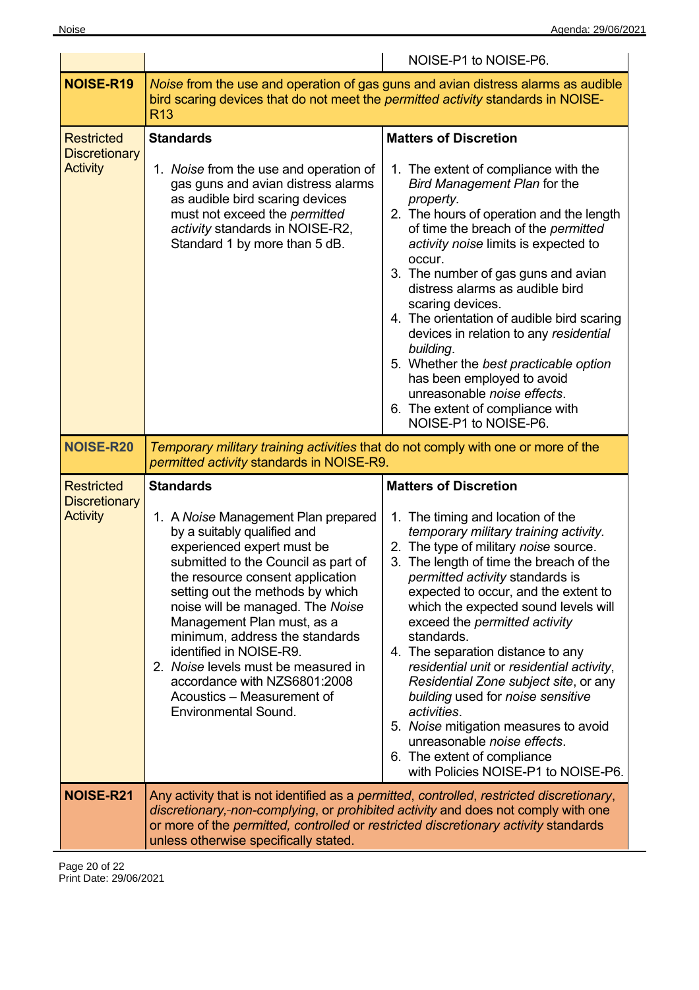|                                                              |                                                                                                                                                                                                                                                                                                                                                                                                                                                                                                        | NOISE-P1 to NOISE-P6.                                                                                                                                                                                                                                                                                                                                                                                                                                                                                                                                                                                                                                                                                |
|--------------------------------------------------------------|--------------------------------------------------------------------------------------------------------------------------------------------------------------------------------------------------------------------------------------------------------------------------------------------------------------------------------------------------------------------------------------------------------------------------------------------------------------------------------------------------------|------------------------------------------------------------------------------------------------------------------------------------------------------------------------------------------------------------------------------------------------------------------------------------------------------------------------------------------------------------------------------------------------------------------------------------------------------------------------------------------------------------------------------------------------------------------------------------------------------------------------------------------------------------------------------------------------------|
| NOISE-R19                                                    | bird scaring devices that do not meet the <i>permitted activity</i> standards in NOISE-<br><b>R13</b>                                                                                                                                                                                                                                                                                                                                                                                                  | Noise from the use and operation of gas guns and avian distress alarms as audible                                                                                                                                                                                                                                                                                                                                                                                                                                                                                                                                                                                                                    |
| <b>Restricted</b><br><b>Discretionary</b><br><b>Activity</b> | <b>Standards</b><br>1. Noise from the use and operation of<br>gas guns and avian distress alarms<br>as audible bird scaring devices<br>must not exceed the permitted<br>activity standards in NOISE-R2,<br>Standard 1 by more than 5 dB.                                                                                                                                                                                                                                                               | <b>Matters of Discretion</b><br>1. The extent of compliance with the<br>Bird Management Plan for the<br>property.<br>2. The hours of operation and the length<br>of time the breach of the permitted<br>activity noise limits is expected to<br>occur.<br>3. The number of gas guns and avian<br>distress alarms as audible bird<br>scaring devices.<br>4. The orientation of audible bird scaring<br>devices in relation to any residential<br>building.<br>5. Whether the best practicable option<br>has been employed to avoid<br>unreasonable noise effects.<br>6. The extent of compliance with<br>NOISE-P1 to NOISE-P6.                                                                        |
| <b>NOISE-R20</b>                                             | Temporary military training activities that do not comply with one or more of the<br>permitted activity standards in NOISE-R9.                                                                                                                                                                                                                                                                                                                                                                         |                                                                                                                                                                                                                                                                                                                                                                                                                                                                                                                                                                                                                                                                                                      |
| <b>Restricted</b><br><b>Discretionary</b><br><b>Activity</b> | <b>Standards</b><br>1. A Noise Management Plan prepared<br>by a suitably qualified and<br>experienced expert must be<br>submitted to the Council as part of<br>the resource consent application<br>setting out the methods by which<br>noise will be managed. The Noise<br>Management Plan must, as a<br>minimum, address the standards<br>identified in NOISE-R9.<br>2. Noise levels must be measured in<br>accordance with NZS6801:2008<br>Acoustics - Measurement of<br><b>Environmental Sound.</b> | <b>Matters of Discretion</b><br>1. The timing and location of the<br>temporary military training activity.<br>2. The type of military noise source.<br>3. The length of time the breach of the<br><i>permitted activity</i> standards is<br>expected to occur, and the extent to<br>which the expected sound levels will<br>exceed the permitted activity<br>standards.<br>4. The separation distance to any<br>residential unit or residential activity,<br>Residential Zone subject site, or any<br>building used for noise sensitive<br>activities.<br>5. Noise mitigation measures to avoid<br>unreasonable noise effects.<br>6. The extent of compliance<br>with Policies NOISE-P1 to NOISE-P6. |
| NOISE-R21                                                    | discretionary,-non-complying, or prohibited activity and does not comply with one<br>or more of the permitted, controlled or restricted discretionary activity standards<br>unless otherwise specifically stated.                                                                                                                                                                                                                                                                                      | Any activity that is not identified as a permitted, controlled, restricted discretionary,                                                                                                                                                                                                                                                                                                                                                                                                                                                                                                                                                                                                            |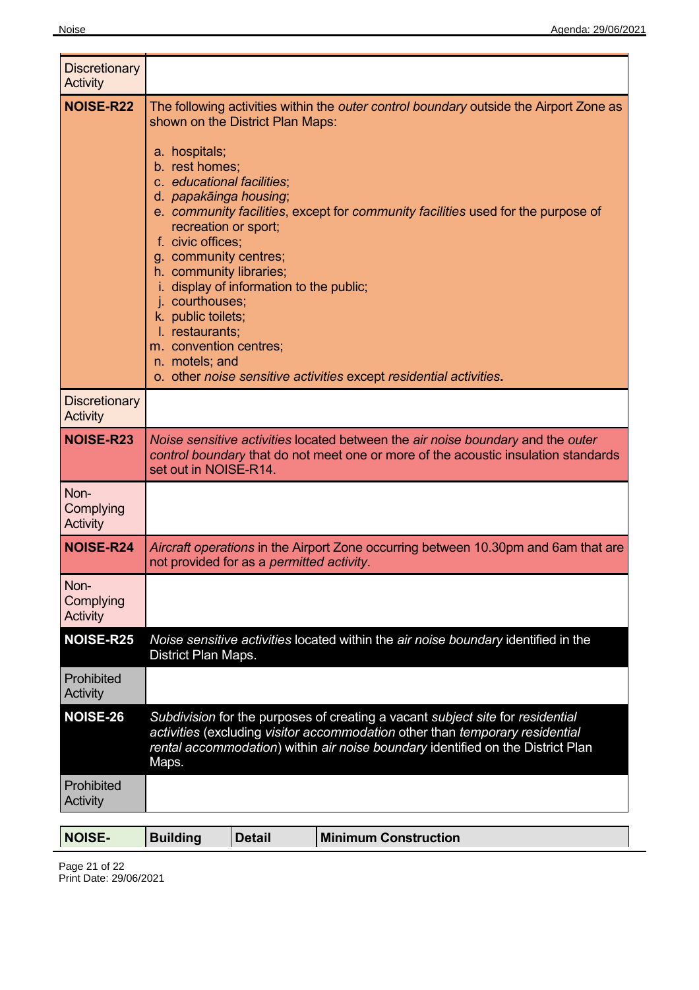| <b>Discretionary</b><br>Activity     |                                                                                                                                                                                                                                                                                                                                                                                                                                                                                                                                                                                                                                             |
|--------------------------------------|---------------------------------------------------------------------------------------------------------------------------------------------------------------------------------------------------------------------------------------------------------------------------------------------------------------------------------------------------------------------------------------------------------------------------------------------------------------------------------------------------------------------------------------------------------------------------------------------------------------------------------------------|
| <b>NOISE-R22</b>                     | The following activities within the <i>outer control boundary</i> outside the Airport Zone as<br>shown on the District Plan Maps:<br>a. hospitals;<br>b. rest homes;<br>c. educational facilities;<br>d. papakāinga housing;<br>e. community facilities, except for community facilities used for the purpose of<br>recreation or sport;<br>f. civic offices;<br>g. community centres;<br>h. community libraries;<br>i. display of information to the public;<br>j. courthouses;<br>k. public toilets;<br>I. restaurants;<br>m. convention centres;<br>n. motels; and<br>o. other noise sensitive activities except residential activities. |
| <b>Discretionary</b><br>Activity     |                                                                                                                                                                                                                                                                                                                                                                                                                                                                                                                                                                                                                                             |
| <b>NOISE-R23</b>                     | Noise sensitive activities located between the air noise boundary and the outer<br>control boundary that do not meet one or more of the acoustic insulation standards<br>set out in NOISE-R14.                                                                                                                                                                                                                                                                                                                                                                                                                                              |
| Non-<br>Complying<br>Activity        |                                                                                                                                                                                                                                                                                                                                                                                                                                                                                                                                                                                                                                             |
| <b>NOISE-R24</b>                     | Aircraft operations in the Airport Zone occurring between 10.30pm and 6am that are<br>not provided for as a permitted activity.                                                                                                                                                                                                                                                                                                                                                                                                                                                                                                             |
| Non-<br>Complying<br><b>Activity</b> |                                                                                                                                                                                                                                                                                                                                                                                                                                                                                                                                                                                                                                             |
| <b>NOISE-R25</b>                     | Noise sensitive activities located within the air noise boundary identified in the<br>District Plan Maps.                                                                                                                                                                                                                                                                                                                                                                                                                                                                                                                                   |
| Prohibited<br>Activity               |                                                                                                                                                                                                                                                                                                                                                                                                                                                                                                                                                                                                                                             |
| <b>NOISE-26</b>                      | Subdivision for the purposes of creating a vacant subject site for residential<br>activities (excluding visitor accommodation other than temporary residential<br>rental accommodation) within air noise boundary identified on the District Plan<br>Maps.                                                                                                                                                                                                                                                                                                                                                                                  |
| Prohibited<br>Activity               |                                                                                                                                                                                                                                                                                                                                                                                                                                                                                                                                                                                                                                             |

| <b>NOISE-</b> | Building | <b>Detail</b> | <b>Minimum Construction</b> |  |
|---------------|----------|---------------|-----------------------------|--|
|               |          |               |                             |  |

Page 21 of 22 Print Date: 29/06/2021